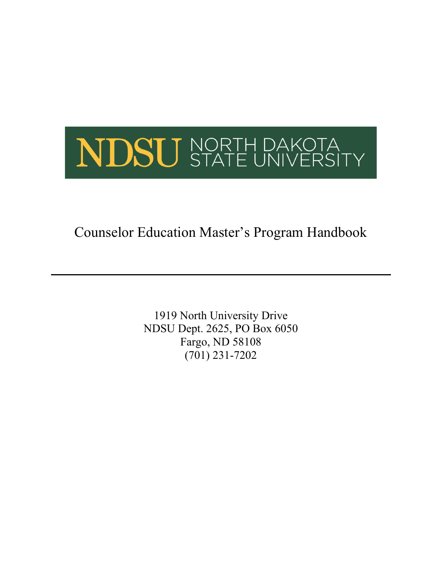

Counselor Education Master's Program Handbook

1919 North University Drive NDSU Dept. 2625, PO Box 6050 Fargo, ND 58108 (701) 231-7202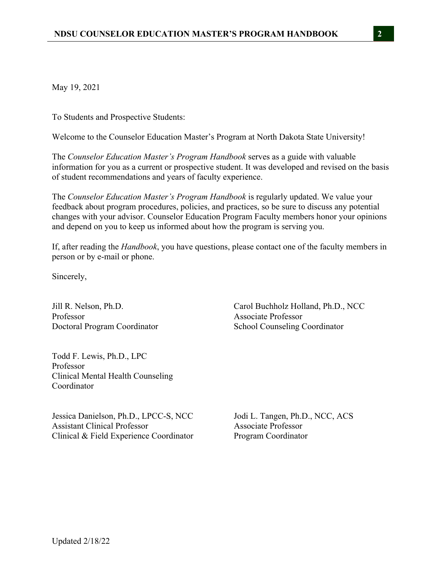May 19, 2021

To Students and Prospective Students:

Welcome to the Counselor Education Master's Program at North Dakota State University!

The *Counselor Education Master's Program Handbook* serves as a guide with valuable information for you as a current or prospective student. It was developed and revised on the basis of student recommendations and years of faculty experience.

The *Counselor Education Master's Program Handbook* is regularly updated. We value your feedback about program procedures, policies, and practices, so be sure to discuss any potential changes with your advisor. Counselor Education Program Faculty members honor your opinions and depend on you to keep us informed about how the program is serving you.

If, after reading the *Handbook*, you have questions, please contact one of the faculty members in person or by e-mail or phone.

Sincerely,

Jill R. Nelson, Ph.D. Carol Buchholz Holland, Ph.D., NCC Professor Associate Professor Doctoral Program Coordinator School Counseling Coordinator

Todd F. Lewis, Ph.D., LPC Professor Clinical Mental Health Counseling Coordinator

Jessica Danielson, Ph.D., LPCC-S, NCC Jodi L. Tangen, Ph.D., NCC, ACS Assistant Clinical Professor Associate Professor Clinical & Field Experience Coordinator Program Coordinator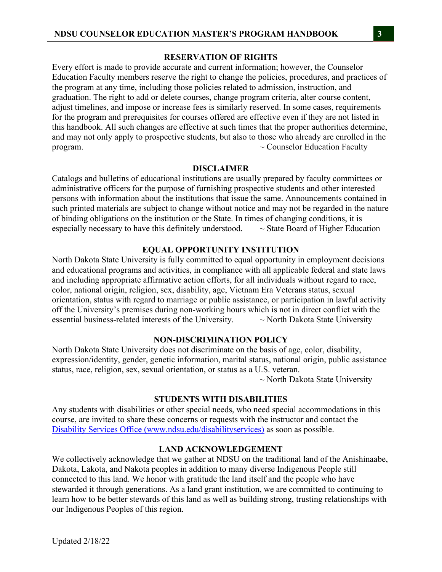### **RESERVATION OF RIGHTS**

Every effort is made to provide accurate and current information; however, the Counselor Education Faculty members reserve the right to change the policies, procedures, and practices of the program at any time, including those policies related to admission, instruction, and graduation. The right to add or delete courses, change program criteria, alter course content, adjust timelines, and impose or increase fees is similarly reserved. In some cases, requirements for the program and prerequisites for courses offered are effective even if they are not listed in this handbook. All such changes are effective at such times that the proper authorities determine, and may not only apply to prospective students, but also to those who already are enrolled in the program.  $\sim$  Counselor Education Faculty

#### **DISCLAIMER**

Catalogs and bulletins of educational institutions are usually prepared by faculty committees or administrative officers for the purpose of furnishing prospective students and other interested persons with information about the institutions that issue the same. Announcements contained in such printed materials are subject to change without notice and may not be regarded in the nature of binding obligations on the institution or the State. In times of changing conditions, it is especially necessary to have this definitely understood.  $\sim$  State Board of Higher Education

### **EQUAL OPPORTUNITY INSTITUTION**

North Dakota State University is fully committed to equal opportunity in employment decisions and educational programs and activities, in compliance with all applicable federal and state laws and including appropriate affirmative action efforts, for all individuals without regard to race, color, national origin, religion, sex, disability, age, Vietnam Era Veterans status, sexual orientation, status with regard to marriage or public assistance, or participation in lawful activity off the University's premises during non-working hours which is not in direct conflict with the essential business-related interests of the University.  $\sim$  North Dakota State University

#### **NON-DISCRIMINATION POLICY**

North Dakota State University does not discriminate on the basis of age, color, disability, expression/identity, gender, genetic information, marital status, national origin, public assistance status, race, religion, sex, sexual orientation, or status as a U.S. veteran.

 $\sim$  North Dakota State University

#### **STUDENTS WITH DISABILITIES**

Any students with disabilities or other special needs, who need special accommodations in this course, are invited to share these concerns or requests with the instructor and contact the Disability Services Office (www.ndsu.edu/disabilityservices) as soon as possible.

#### **LAND ACKNOWLEDGEMENT**

We collectively acknowledge that we gather at NDSU on the traditional land of the Anishinaabe, Dakota, Lakota, and Nakota peoples in addition to many diverse Indigenous People still connected to this land. We honor with gratitude the land itself and the people who have stewarded it through generations. As a land grant institution, we are committed to continuing to learn how to be better stewards of this land as well as building strong, trusting relationships with our Indigenous Peoples of this region.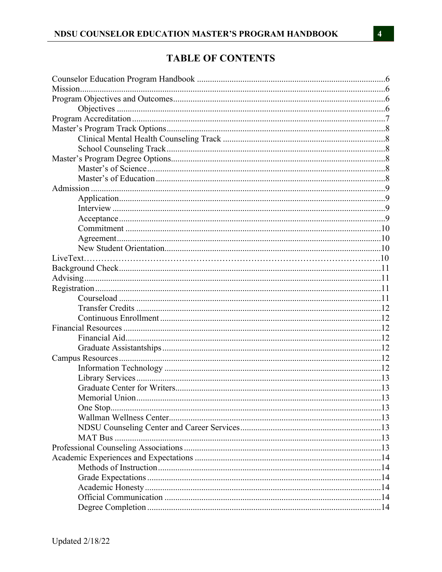# **TABLE OF CONTENTS**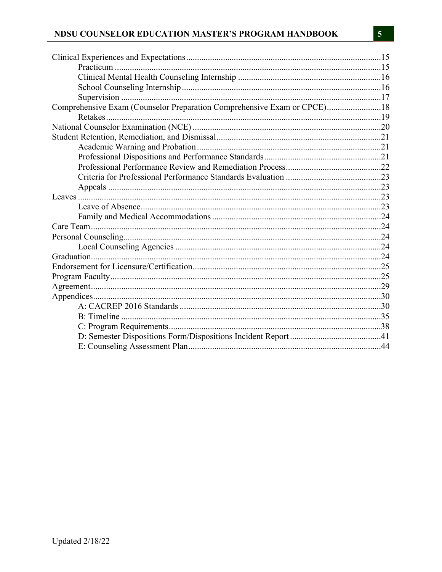# NDSU COUNSELOR EDUCATION MASTER'S PROGRAM HANDBOOK

| Comprehensive Exam (Counselor Preparation Comprehensive Exam or CPCE)18 |  |
|-------------------------------------------------------------------------|--|
|                                                                         |  |
|                                                                         |  |
|                                                                         |  |
|                                                                         |  |
|                                                                         |  |
|                                                                         |  |
|                                                                         |  |
|                                                                         |  |
|                                                                         |  |
|                                                                         |  |
|                                                                         |  |
|                                                                         |  |
|                                                                         |  |
|                                                                         |  |
|                                                                         |  |
|                                                                         |  |
|                                                                         |  |
|                                                                         |  |
|                                                                         |  |
|                                                                         |  |
|                                                                         |  |
|                                                                         |  |
|                                                                         |  |
|                                                                         |  |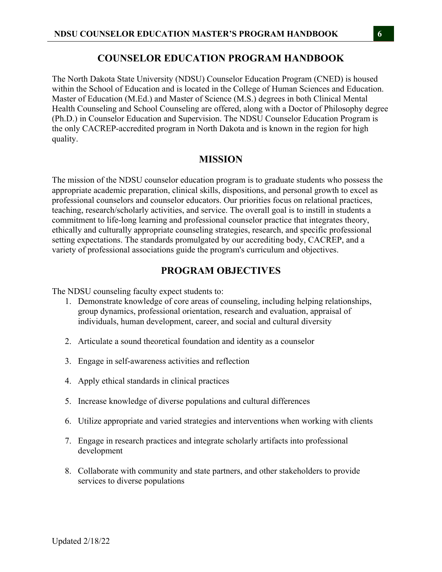### **COUNSELOR EDUCATION PROGRAM HANDBOOK**

The North Dakota State University (NDSU) Counselor Education Program (CNED) is housed within the School of Education and is located in the College of Human Sciences and Education. Master of Education (M.Ed.) and Master of Science (M.S.) degrees in both Clinical Mental Health Counseling and School Counseling are offered, along with a Doctor of Philosophy degree (Ph.D.) in Counselor Education and Supervision. The NDSU Counselor Education Program is the only CACREP-accredited program in North Dakota and is known in the region for high quality.

### **MISSION**

The mission of the NDSU counselor education program is to graduate students who possess the appropriate academic preparation, clinical skills, dispositions, and personal growth to excel as professional counselors and counselor educators. Our priorities focus on relational practices, teaching, research/scholarly activities, and service. The overall goal is to instill in students a commitment to life-long learning and professional counselor practice that integrates theory, ethically and culturally appropriate counseling strategies, research, and specific professional setting expectations. The standards promulgated by our accrediting body, CACREP, and a variety of professional associations guide the program's curriculum and objectives.

### **PROGRAM OBJECTIVES**

The NDSU counseling faculty expect students to:

- 1. Demonstrate knowledge of core areas of counseling, including helping relationships, group dynamics, professional orientation, research and evaluation, appraisal of individuals, human development, career, and social and cultural diversity
- 2. Articulate a sound theoretical foundation and identity as a counselor
- 3. Engage in self-awareness activities and reflection
- 4. Apply ethical standards in clinical practices
- 5. Increase knowledge of diverse populations and cultural differences
- 6. Utilize appropriate and varied strategies and interventions when working with clients
- 7. Engage in research practices and integrate scholarly artifacts into professional development
- 8. Collaborate with community and state partners, and other stakeholders to provide services to diverse populations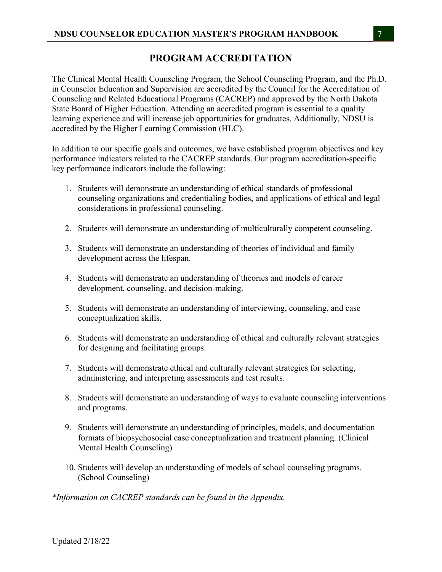# **PROGRAM ACCREDITATION**

The Clinical Mental Health Counseling Program, the School Counseling Program, and the Ph.D. in Counselor Education and Supervision are accredited by the Council for the Accreditation of Counseling and Related Educational Programs (CACREP) and approved by the North Dakota State Board of Higher Education. Attending an accredited program is essential to a quality learning experience and will increase job opportunities for graduates. Additionally, NDSU is accredited by the Higher Learning Commission (HLC).

In addition to our specific goals and outcomes, we have established program objectives and key performance indicators related to the CACREP standards. Our program accreditation-specific key performance indicators include the following:

- 1. Students will demonstrate an understanding of ethical standards of professional counseling organizations and credentialing bodies, and applications of ethical and legal considerations in professional counseling.
- 2. Students will demonstrate an understanding of multiculturally competent counseling.
- 3. Students will demonstrate an understanding of theories of individual and family development across the lifespan.
- 4. Students will demonstrate an understanding of theories and models of career development, counseling, and decision-making.
- 5. Students will demonstrate an understanding of interviewing, counseling, and case conceptualization skills.
- 6. Students will demonstrate an understanding of ethical and culturally relevant strategies for designing and facilitating groups.
- 7. Students will demonstrate ethical and culturally relevant strategies for selecting, administering, and interpreting assessments and test results.
- 8. Students will demonstrate an understanding of ways to evaluate counseling interventions and programs.
- 9. Students will demonstrate an understanding of principles, models, and documentation formats of biopsychosocial case conceptualization and treatment planning. (Clinical Mental Health Counseling)
- 10. Students will develop an understanding of models of school counseling programs. (School Counseling)

*\*Information on CACREP standards can be found in the Appendix.*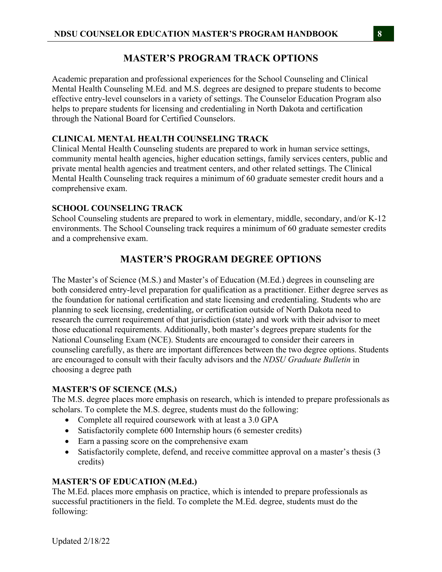# **MASTER'S PROGRAM TRACK OPTIONS**

Academic preparation and professional experiences for the School Counseling and Clinical Mental Health Counseling M.Ed. and M.S. degrees are designed to prepare students to become effective entry-level counselors in a variety of settings. The Counselor Education Program also helps to prepare students for licensing and credentialing in North Dakota and certification through the National Board for Certified Counselors.

### **CLINICAL MENTAL HEALTH COUNSELING TRACK**

Clinical Mental Health Counseling students are prepared to work in human service settings, community mental health agencies, higher education settings, family services centers, public and private mental health agencies and treatment centers, and other related settings. The Clinical Mental Health Counseling track requires a minimum of 60 graduate semester credit hours and a comprehensive exam.

### **SCHOOL COUNSELING TRACK**

School Counseling students are prepared to work in elementary, middle, secondary, and/or K-12 environments. The School Counseling track requires a minimum of 60 graduate semester credits and a comprehensive exam.

# **MASTER'S PROGRAM DEGREE OPTIONS**

The Master's of Science (M.S.) and Master's of Education (M.Ed.) degrees in counseling are both considered entry-level preparation for qualification as a practitioner. Either degree serves as the foundation for national certification and state licensing and credentialing. Students who are planning to seek licensing, credentialing, or certification outside of North Dakota need to research the current requirement of that jurisdiction (state) and work with their advisor to meet those educational requirements. Additionally, both master's degrees prepare students for the National Counseling Exam (NCE). Students are encouraged to consider their careers in counseling carefully, as there are important differences between the two degree options. Students are encouraged to consult with their faculty advisors and the *NDSU Graduate Bulletin* in choosing a degree path

### **MASTER'S OF SCIENCE (M.S.)**

The M.S. degree places more emphasis on research, which is intended to prepare professionals as scholars. To complete the M.S. degree, students must do the following:

- Complete all required coursework with at least a 3.0 GPA
- Satisfactorily complete 600 Internship hours (6 semester credits)
- Earn a passing score on the comprehensive exam
- Satisfactorily complete, defend, and receive committee approval on a master's thesis (3 credits)

### **MASTER'S OF EDUCATION (M.Ed.)**

The M.Ed. places more emphasis on practice, which is intended to prepare professionals as successful practitioners in the field. To complete the M.Ed. degree, students must do the following: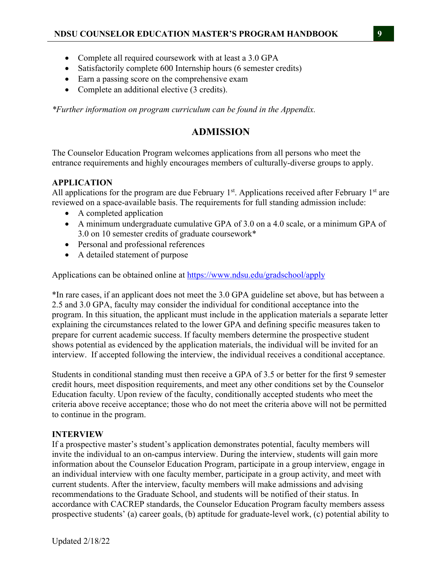- Complete all required coursework with at least a 3.0 GPA
- Satisfactorily complete 600 Internship hours (6 semester credits)
- Earn a passing score on the comprehensive exam
- Complete an additional elective (3 credits).

*\*Further information on program curriculum can be found in the Appendix.* 

# **ADMISSION**

The Counselor Education Program welcomes applications from all persons who meet the entrance requirements and highly encourages members of culturally-diverse groups to apply.

# **APPLICATION**

All applications for the program are due February  $1<sup>st</sup>$ . Applications received after February  $1<sup>st</sup>$  are reviewed on a space-available basis. The requirements for full standing admission include:

- A completed application
- A minimum undergraduate cumulative GPA of 3.0 on a 4.0 scale, or a minimum GPA of 3.0 on 10 semester credits of graduate coursework\*
- Personal and professional references
- A detailed statement of purpose

Applications can be obtained online at https://www.ndsu.edu/gradschool/apply

\*In rare cases, if an applicant does not meet the 3.0 GPA guideline set above, but has between a 2.5 and 3.0 GPA, faculty may consider the individual for conditional acceptance into the program. In this situation, the applicant must include in the application materials a separate letter explaining the circumstances related to the lower GPA and defining specific measures taken to prepare for current academic success. If faculty members determine the prospective student shows potential as evidenced by the application materials, the individual will be invited for an interview. If accepted following the interview, the individual receives a conditional acceptance.

Students in conditional standing must then receive a GPA of 3.5 or better for the first 9 semester credit hours, meet disposition requirements, and meet any other conditions set by the Counselor Education faculty. Upon review of the faculty, conditionally accepted students who meet the criteria above receive acceptance; those who do not meet the criteria above will not be permitted to continue in the program.

# **INTERVIEW**

If a prospective master's student's application demonstrates potential, faculty members will invite the individual to an on-campus interview. During the interview, students will gain more information about the Counselor Education Program, participate in a group interview, engage in an individual interview with one faculty member, participate in a group activity, and meet with current students. After the interview, faculty members will make admissions and advising recommendations to the Graduate School, and students will be notified of their status. In accordance with CACREP standards, the Counselor Education Program faculty members assess prospective students' (a) career goals, (b) aptitude for graduate-level work, (c) potential ability to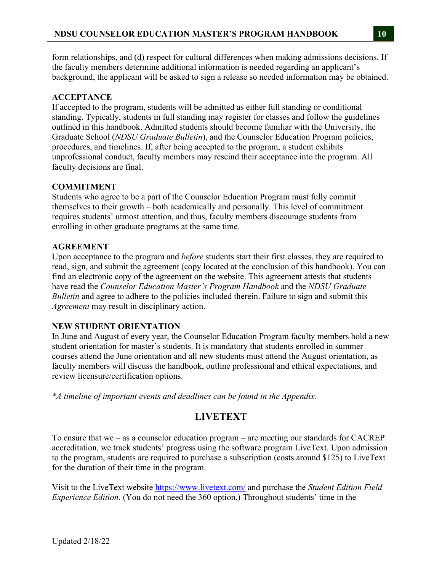form relationships, and (d) respect for cultural differences when making admissions decisions. If the faculty members determine additional information is needed regarding an applicant's background, the applicant will be asked to sign a release so needed information may be obtained.

# **ACCEPTANCE**

If accepted to the program, students will be admitted as either full standing or conditional standing. Typically, students in full standing may register for classes and follow the guidelines outlined in this handbook. Admitted students should become familiar with the University, the Graduate School (*NDSU Graduate Bulletin*), and the Counselor Education Program policies, procedures, and timelines. If, after being accepted to the program, a student exhibits unprofessional conduct, faculty members may rescind their acceptance into the program. All faculty decisions are final.

# **COMMITMENT**

Students who agree to be a part of the Counselor Education Program must fully commit themselves to their growth – both academically and personally. This level of commitment requires students' utmost attention, and thus, faculty members discourage students from enrolling in other graduate programs at the same time.

# **AGREEMENT**

Upon acceptance to the program and *before* students start their first classes, they are required to read, sign, and submit the agreement (copy located at the conclusion of this handbook). You can find an electronic copy of the agreement on the website. This agreement attests that students have read the *Counselor Education Master's Program Handbook* and the *NDSU Graduate Bulletin* and agree to adhere to the policies included therein. Failure to sign and submit this *Agreement* may result in disciplinary action.

# **NEW STUDENT ORIENTATION**

In June and August of every year, the Counselor Education Program faculty members hold a new student orientation for master's students. It is mandatory that students enrolled in summer courses attend the June orientation and all new students must attend the August orientation, as faculty members will discuss the handbook, outline professional and ethical expectations, and review licensure/certification options.

*\*A timeline of important events and deadlines can be found in the Appendix.* 

# **LIVETEXT**

To ensure that we – as a counselor education program – are meeting our standards for CACREP accreditation, we track students' progress using the software program LiveText. Upon admission to the program, students are required to purchase a subscription (costs around \$125) to LiveText for the duration of their time in the program.

Visit to the LiveText website https://www.livetext.com/ and purchase the *Student Edition Field Experience Edition*. (You do not need the 360 option.) Throughout students' time in the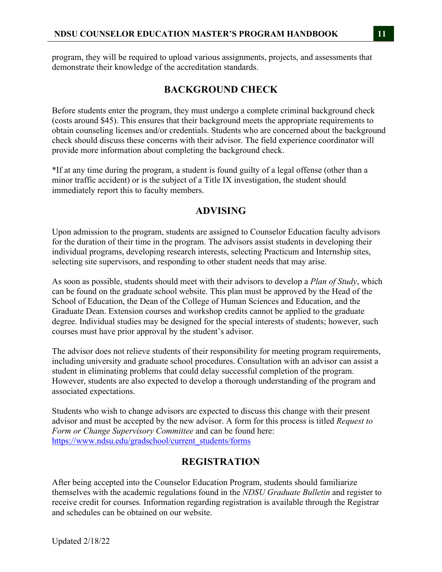program, they will be required to upload various assignments, projects, and assessments that demonstrate their knowledge of the accreditation standards.

# **BACKGROUND CHECK**

Before students enter the program, they must undergo a complete criminal background check (costs around \$45). This ensures that their background meets the appropriate requirements to obtain counseling licenses and/or credentials. Students who are concerned about the background check should discuss these concerns with their advisor. The field experience coordinator will provide more information about completing the background check.

\*If at any time during the program, a student is found guilty of a legal offense (other than a minor traffic accident) or is the subject of a Title IX investigation, the student should immediately report this to faculty members.

# **ADVISING**

Upon admission to the program, students are assigned to Counselor Education faculty advisors for the duration of their time in the program. The advisors assist students in developing their individual programs, developing research interests, selecting Practicum and Internship sites, selecting site supervisors, and responding to other student needs that may arise.

As soon as possible, students should meet with their advisors to develop a *Plan of Study*, which can be found on the graduate school website. This plan must be approved by the Head of the School of Education, the Dean of the College of Human Sciences and Education, and the Graduate Dean. Extension courses and workshop credits cannot be applied to the graduate degree. Individual studies may be designed for the special interests of students; however, such courses must have prior approval by the student's advisor.

The advisor does not relieve students of their responsibility for meeting program requirements, including university and graduate school procedures. Consultation with an advisor can assist a student in eliminating problems that could delay successful completion of the program. However, students are also expected to develop a thorough understanding of the program and associated expectations.

Students who wish to change advisors are expected to discuss this change with their present advisor and must be accepted by the new advisor. A form for this process is titled *Request to Form or Change Supervisory Committee* and can be found here: https://www.ndsu.edu/gradschool/current\_students/forms

# **REGISTRATION**

After being accepted into the Counselor Education Program, students should familiarize themselves with the academic regulations found in the *NDSU Graduate Bulletin* and register to receive credit for courses*.* Information regarding registration is available through the Registrar and schedules can be obtained on our website.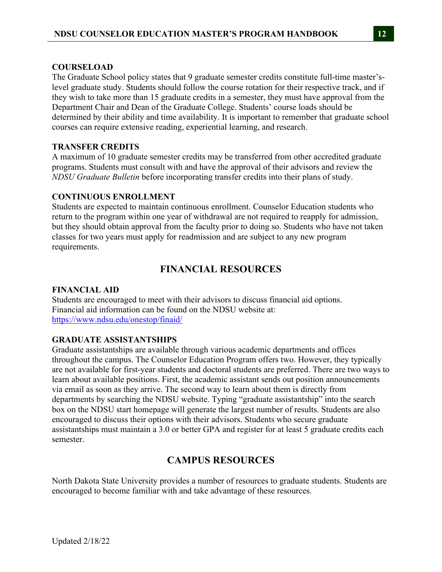### **COURSELOAD**

The Graduate School policy states that 9 graduate semester credits constitute full-time master'slevel graduate study. Students should follow the course rotation for their respective track, and if they wish to take more than 15 graduate credits in a semester, they must have approval from the Department Chair and Dean of the Graduate College. Students' course loads should be determined by their ability and time availability. It is important to remember that graduate school courses can require extensive reading, experiential learning, and research.

### **TRANSFER CREDITS**

A maximum of 10 graduate semester credits may be transferred from other accredited graduate programs. Students must consult with and have the approval of their advisors and review the *NDSU Graduate Bulletin* before incorporating transfer credits into their plans of study.

### **CONTINUOUS ENROLLMENT**

Students are expected to maintain continuous enrollment. Counselor Education students who return to the program within one year of withdrawal are not required to reapply for admission, but they should obtain approval from the faculty prior to doing so. Students who have not taken classes for two years must apply for readmission and are subject to any new program requirements.

# **FINANCIAL RESOURCES**

### **FINANCIAL AID**

Students are encouraged to meet with their advisors to discuss financial aid options. Financial aid information can be found on the NDSU website at: https://www.ndsu.edu/onestop/finaid/

# **GRADUATE ASSISTANTSHIPS**

Graduate assistantships are available through various academic departments and offices throughout the campus. The Counselor Education Program offers two. However, they typically are not available for first-year students and doctoral students are preferred. There are two ways to learn about available positions. First, the academic assistant sends out position announcements via email as soon as they arrive. The second way to learn about them is directly from departments by searching the NDSU website. Typing "graduate assistantship" into the search box on the NDSU start homepage will generate the largest number of results. Students are also encouraged to discuss their options with their advisors. Students who secure graduate assistantships must maintain a 3.0 or better GPA and register for at least 5 graduate credits each semester.

# **CAMPUS RESOURCES**

North Dakota State University provides a number of resources to graduate students. Students are encouraged to become familiar with and take advantage of these resources.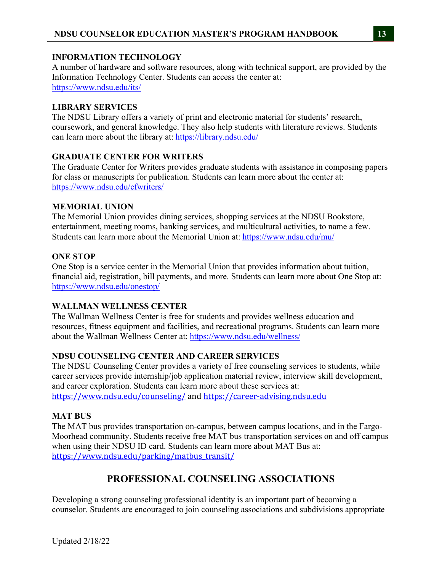### **INFORMATION TECHNOLOGY**

A number of hardware and software resources, along with technical support, are provided by the Information Technology Center. Students can access the center at: https://www.ndsu.edu/its/

### **LIBRARY SERVICES**

The NDSU Library offers a variety of print and electronic material for students' research, coursework, and general knowledge. They also help students with literature reviews. Students can learn more about the library at: https://library.ndsu.edu/

### **GRADUATE CENTER FOR WRITERS**

The Graduate Center for Writers provides graduate students with assistance in composing papers for class or manuscripts for publication. Students can learn more about the center at: https://www.ndsu.edu/cfwriters/

### **MEMORIAL UNION**

The Memorial Union provides dining services, shopping services at the NDSU Bookstore, entertainment, meeting rooms, banking services, and multicultural activities, to name a few. Students can learn more about the Memorial Union at: https://www.ndsu.edu/mu/

### **ONE STOP**

One Stop is a service center in the Memorial Union that provides information about tuition, financial aid, registration, bill payments, and more. Students can learn more about One Stop at: https://www.ndsu.edu/onestop/

# **WALLMAN WELLNESS CENTER**

The Wallman Wellness Center is free for students and provides wellness education and resources, fitness equipment and facilities, and recreational programs. Students can learn more about the Wallman Wellness Center at: https://www.ndsu.edu/wellness/

### **NDSU COUNSELING CENTER AND CAREER SERVICES**

The NDSU Counseling Center provides a variety of free counseling services to students, while career services provide internship/job application material review, interview skill development, and career exploration. Students can learn more about these services at: https://www.ndsu.edu/counseling/ and https://career-advising.ndsu.edu

### **MAT BUS**

The MAT bus provides transportation on-campus, between campus locations, and in the Fargo-Moorhead community. Students receive free MAT bus transportation services on and off campus when using their NDSU ID card. Students can learn more about MAT Bus at: https://www.ndsu.edu/parking/matbus\_transit/

# **PROFESSIONAL COUNSELING ASSOCIATIONS**

Developing a strong counseling professional identity is an important part of becoming a counselor. Students are encouraged to join counseling associations and subdivisions appropriate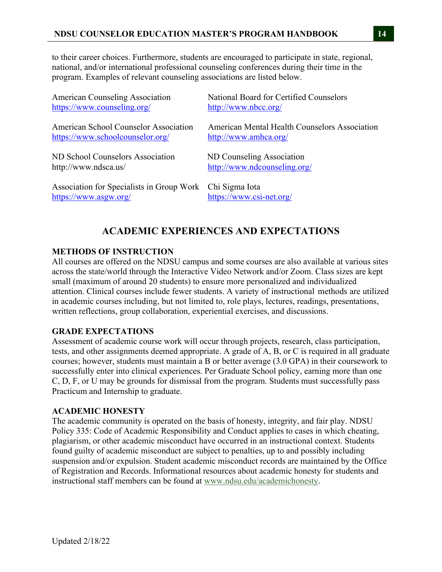to their career choices. Furthermore, students are encouraged to participate in state, regional, national, and/or international professional counseling conferences during their time in the program. Examples of relevant counseling associations are listed below.

| <b>American Counseling Association</b>    | National Board for Certified Counselors       |
|-------------------------------------------|-----------------------------------------------|
| https://www.counseling.org/               | http://www.nbcc.org/                          |
| American School Counselor Association     | American Mental Health Counselors Association |
| https://www.schoolcounselor.org/          | http://www.amhca.org/                         |
| ND School Counselors Association          | ND Counseling Association                     |
| http://www.ndsca.us/                      | http://www.ndcounseling.org/                  |
| Association for Specialists in Group Work | Chi Sigma Iota                                |
| https://www.asgw.org/                     | https://www.csi-net.org/                      |

# **ACADEMIC EXPERIENCES AND EXPECTATIONS**

### **METHODS OF INSTRUCTION**

All courses are offered on the NDSU campus and some courses are also available at various sites across the state/world through the Interactive Video Network and/or Zoom. Class sizes are kept small (maximum of around 20 students) to ensure more personalized and individualized attention. Clinical courses include fewer students. A variety of instructional methods are utilized in academic courses including, but not limited to, role plays, lectures, readings, presentations, written reflections, group collaboration, experiential exercises, and discussions.

### **GRADE EXPECTATIONS**

Assessment of academic course work will occur through projects, research, class participation, tests, and other assignments deemed appropriate. A grade of A, B, or C is required in all graduate courses; however, students must maintain a B or better average (3.0 GPA) in their coursework to successfully enter into clinical experiences. Per Graduate School policy, earning more than one C, D, F, or U may be grounds for dismissal from the program. Students must successfully pass Practicum and Internship to graduate.

### **ACADEMIC HONESTY**

The academic community is operated on the basis of honesty, integrity, and fair play. NDSU Policy 335: Code of Academic Responsibility and Conduct applies to cases in which cheating, plagiarism, or other academic misconduct have occurred in an instructional context. Students found guilty of academic misconduct are subject to penalties, up to and possibly including suspension and/or expulsion. Student academic misconduct records are maintained by the Office of Registration and Records. Informational resources about academic honesty for students and instructional staff members can be found at www.ndsu.edu/academichonesty.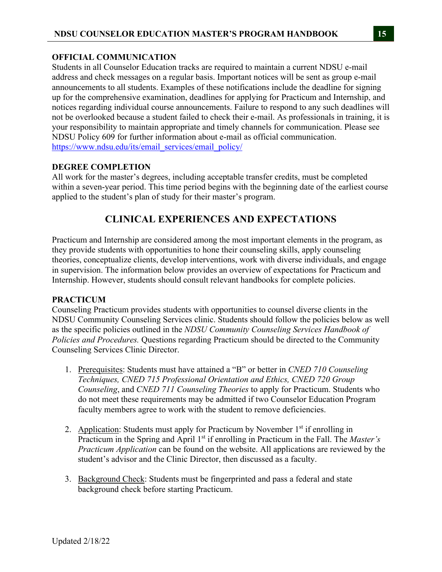# **OFFICIAL COMMUNICATION**

Students in all Counselor Education tracks are required to maintain a current NDSU e-mail address and check messages on a regular basis. Important notices will be sent as group e-mail announcements to all students. Examples of these notifications include the deadline for signing up for the comprehensive examination, deadlines for applying for Practicum and Internship, and notices regarding individual course announcements. Failure to respond to any such deadlines will not be overlooked because a student failed to check their e-mail. As professionals in training, it is your responsibility to maintain appropriate and timely channels for communication. Please see NDSU Policy 609 for further information about e-mail as official communication. https://www.ndsu.edu/its/email\_services/email\_policy/

# **DEGREE COMPLETION**

All work for the master's degrees, including acceptable transfer credits, must be completed within a seven-year period. This time period begins with the beginning date of the earliest course applied to the student's plan of study for their master's program.

# **CLINICAL EXPERIENCES AND EXPECTATIONS**

Practicum and Internship are considered among the most important elements in the program, as they provide students with opportunities to hone their counseling skills, apply counseling theories, conceptualize clients, develop interventions, work with diverse individuals, and engage in supervision. The information below provides an overview of expectations for Practicum and Internship. However, students should consult relevant handbooks for complete policies.

### **PRACTICUM**

Counseling Practicum provides students with opportunities to counsel diverse clients in the NDSU Community Counseling Services clinic. Students should follow the policies below as well as the specific policies outlined in the *NDSU Community Counseling Services Handbook of Policies and Procedures.* Questions regarding Practicum should be directed to the Community Counseling Services Clinic Director.

- 1. Prerequisites: Students must have attained a "B" or better in *CNED 710 Counseling Techniques, CNED 715 Professional Orientation and Ethics, CNED 720 Group Counseling*, and *CNED 711 Counseling Theories* to apply for Practicum. Students who do not meet these requirements may be admitted if two Counselor Education Program faculty members agree to work with the student to remove deficiencies.
- 2. Application: Students must apply for Practicum by November 1<sup>st</sup> if enrolling in Practicum in the Spring and April 1<sup>st</sup> if enrolling in Practicum in the Fall. The *Master's Practicum Application* can be found on the website. All applications are reviewed by the student's advisor and the Clinic Director, then discussed as a faculty.
- 3. Background Check: Students must be fingerprinted and pass a federal and state background check before starting Practicum.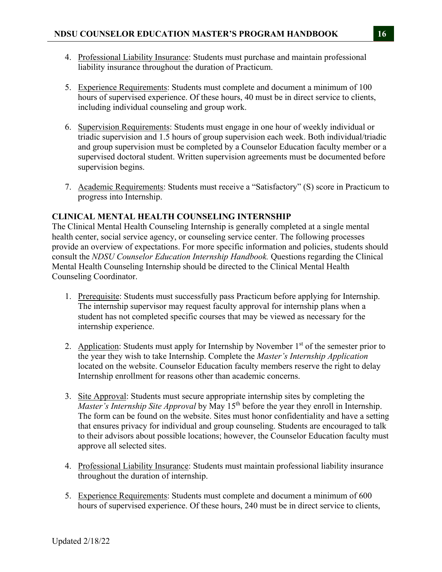- 4. Professional Liability Insurance: Students must purchase and maintain professional liability insurance throughout the duration of Practicum.
- 5. Experience Requirements: Students must complete and document a minimum of 100 hours of supervised experience. Of these hours, 40 must be in direct service to clients, including individual counseling and group work.
- 6. Supervision Requirements: Students must engage in one hour of weekly individual or triadic supervision and 1.5 hours of group supervision each week. Both individual/triadic and group supervision must be completed by a Counselor Education faculty member or a supervised doctoral student. Written supervision agreements must be documented before supervision begins.
- 7. Academic Requirements: Students must receive a "Satisfactory" (S) score in Practicum to progress into Internship.

### **CLINICAL MENTAL HEALTH COUNSELING INTERNSHIP**

The Clinical Mental Health Counseling Internship is generally completed at a single mental health center, social service agency, or counseling service center. The following processes provide an overview of expectations. For more specific information and policies, students should consult the *NDSU Counselor Education Internship Handbook.* Questions regarding the Clinical Mental Health Counseling Internship should be directed to the Clinical Mental Health Counseling Coordinator.

- 1. Prerequisite: Students must successfully pass Practicum before applying for Internship. The internship supervisor may request faculty approval for internship plans when a student has not completed specific courses that may be viewed as necessary for the internship experience.
- 2. Application: Students must apply for Internship by November  $1<sup>st</sup>$  of the semester prior to the year they wish to take Internship. Complete the *Master's Internship Application*  located on the website. Counselor Education faculty members reserve the right to delay Internship enrollment for reasons other than academic concerns.
- 3. Site Approval: Students must secure appropriate internship sites by completing the *Master's Internship Site Approval* by May 15<sup>th</sup> before the year they enroll in Internship. The form can be found on the website. Sites must honor confidentiality and have a setting that ensures privacy for individual and group counseling. Students are encouraged to talk to their advisors about possible locations; however, the Counselor Education faculty must approve all selected sites.
- 4. Professional Liability Insurance: Students must maintain professional liability insurance throughout the duration of internship.
- 5. Experience Requirements: Students must complete and document a minimum of 600 hours of supervised experience. Of these hours, 240 must be in direct service to clients,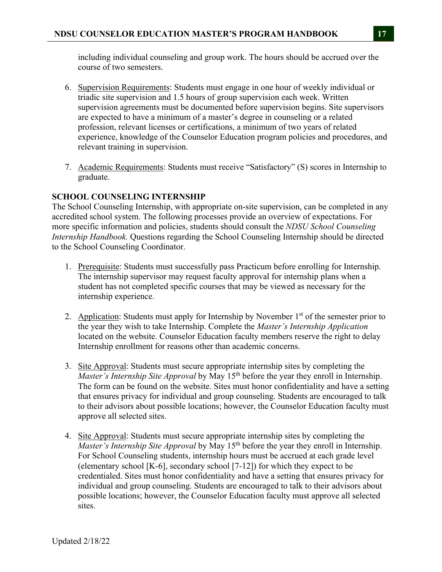including individual counseling and group work. The hours should be accrued over the course of two semesters.

- 6. Supervision Requirements: Students must engage in one hour of weekly individual or triadic site supervision and 1.5 hours of group supervision each week. Written supervision agreements must be documented before supervision begins. Site supervisors are expected to have a minimum of a master's degree in counseling or a related profession, relevant licenses or certifications, a minimum of two years of related experience, knowledge of the Counselor Education program policies and procedures, and relevant training in supervision.
- 7. Academic Requirements: Students must receive "Satisfactory" (S) scores in Internship to graduate.

# **SCHOOL COUNSELING INTERNSHIP**

The School Counseling Internship, with appropriate on-site supervision, can be completed in any accredited school system. The following processes provide an overview of expectations. For more specific information and policies, students should consult the *NDSU School Counseling Internship Handbook.* Questions regarding the School Counseling Internship should be directed to the School Counseling Coordinator.

- 1. Prerequisite: Students must successfully pass Practicum before enrolling for Internship. The internship supervisor may request faculty approval for internship plans when a student has not completed specific courses that may be viewed as necessary for the internship experience.
- 2. Application: Students must apply for Internship by November  $1<sup>st</sup>$  of the semester prior to the year they wish to take Internship. Complete the *Master's Internship Application*  located on the website. Counselor Education faculty members reserve the right to delay Internship enrollment for reasons other than academic concerns.
- 3. Site Approval: Students must secure appropriate internship sites by completing the *Master's Internship Site Approval* by May 15<sup>th</sup> before the year they enroll in Internship. The form can be found on the website. Sites must honor confidentiality and have a setting that ensures privacy for individual and group counseling. Students are encouraged to talk to their advisors about possible locations; however, the Counselor Education faculty must approve all selected sites.
- 4. Site Approval: Students must secure appropriate internship sites by completing the *Master's Internship Site Approval* by May 15<sup>th</sup> before the year they enroll in Internship. For School Counseling students, internship hours must be accrued at each grade level (elementary school [K-6], secondary school [7-12]) for which they expect to be credentialed. Sites must honor confidentiality and have a setting that ensures privacy for individual and group counseling. Students are encouraged to talk to their advisors about possible locations; however, the Counselor Education faculty must approve all selected sites.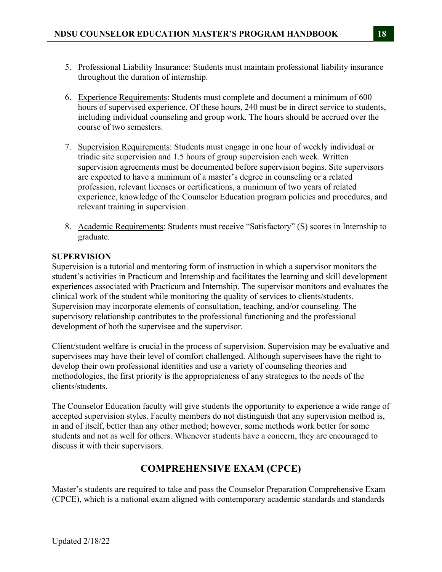- 5. Professional Liability Insurance: Students must maintain professional liability insurance throughout the duration of internship.
- 6. Experience Requirements: Students must complete and document a minimum of 600 hours of supervised experience. Of these hours, 240 must be in direct service to students, including individual counseling and group work. The hours should be accrued over the course of two semesters.
- 7. Supervision Requirements: Students must engage in one hour of weekly individual or triadic site supervision and 1.5 hours of group supervision each week. Written supervision agreements must be documented before supervision begins. Site supervisors are expected to have a minimum of a master's degree in counseling or a related profession, relevant licenses or certifications, a minimum of two years of related experience, knowledge of the Counselor Education program policies and procedures, and relevant training in supervision.
- 8. Academic Requirements: Students must receive "Satisfactory" (S) scores in Internship to graduate.

### **SUPERVISION**

Supervision is a tutorial and mentoring form of instruction in which a supervisor monitors the student's activities in Practicum and Internship and facilitates the learning and skill development experiences associated with Practicum and Internship. The supervisor monitors and evaluates the clinical work of the student while monitoring the quality of services to clients/students. Supervision may incorporate elements of consultation, teaching, and/or counseling. The supervisory relationship contributes to the professional functioning and the professional development of both the supervisee and the supervisor.

Client/student welfare is crucial in the process of supervision. Supervision may be evaluative and supervisees may have their level of comfort challenged. Although supervisees have the right to develop their own professional identities and use a variety of counseling theories and methodologies, the first priority is the appropriateness of any strategies to the needs of the clients/students.

The Counselor Education faculty will give students the opportunity to experience a wide range of accepted supervision styles. Faculty members do not distinguish that any supervision method is, in and of itself, better than any other method; however, some methods work better for some students and not as well for others. Whenever students have a concern, they are encouraged to discuss it with their supervisors.

# **COMPREHENSIVE EXAM (CPCE)**

Master's students are required to take and pass the Counselor Preparation Comprehensive Exam (CPCE), which is a national exam aligned with contemporary academic standards and standards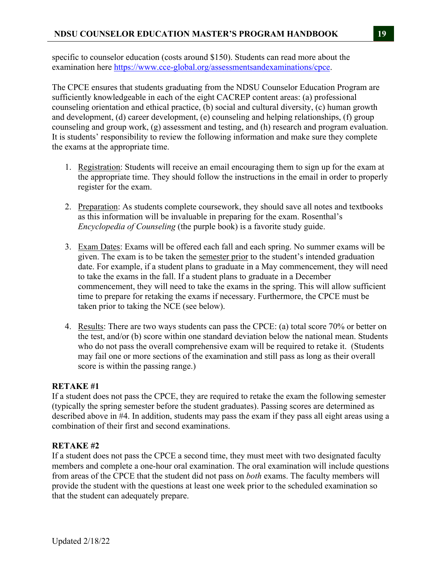specific to counselor education (costs around \$150). Students can read more about the examination here https://www.cce-global.org/assessmentsandexaminations/cpce.

The CPCE ensures that students graduating from the NDSU Counselor Education Program are sufficiently knowledgeable in each of the eight CACREP content areas: (a) professional counseling orientation and ethical practice, (b) social and cultural diversity, (c) human growth and development, (d) career development, (e) counseling and helping relationships, (f) group counseling and group work, (g) assessment and testing, and (h) research and program evaluation. It is students' responsibility to review the following information and make sure they complete the exams at the appropriate time.

- 1. Registration: Students will receive an email encouraging them to sign up for the exam at the appropriate time. They should follow the instructions in the email in order to properly register for the exam.
- 2. Preparation: As students complete coursework, they should save all notes and textbooks as this information will be invaluable in preparing for the exam. Rosenthal's *Encyclopedia of Counseling* (the purple book) is a favorite study guide.
- 3. Exam Dates: Exams will be offered each fall and each spring. No summer exams will be given. The exam is to be taken the semester prior to the student's intended graduation date. For example, if a student plans to graduate in a May commencement, they will need to take the exams in the fall. If a student plans to graduate in a December commencement, they will need to take the exams in the spring. This will allow sufficient time to prepare for retaking the exams if necessary. Furthermore, the CPCE must be taken prior to taking the NCE (see below).
- 4. Results: There are two ways students can pass the CPCE: (a) total score 70% or better on the test, and/or (b) score within one standard deviation below the national mean. Students who do not pass the overall comprehensive exam will be required to retake it. (Students may fail one or more sections of the examination and still pass as long as their overall score is within the passing range.)

# **RETAKE #1**

If a student does not pass the CPCE, they are required to retake the exam the following semester (typically the spring semester before the student graduates). Passing scores are determined as described above in #4. In addition, students may pass the exam if they pass all eight areas using a combination of their first and second examinations.

### **RETAKE #2**

If a student does not pass the CPCE a second time, they must meet with two designated faculty members and complete a one-hour oral examination. The oral examination will include questions from areas of the CPCE that the student did not pass on *both* exams. The faculty members will provide the student with the questions at least one week prior to the scheduled examination so that the student can adequately prepare.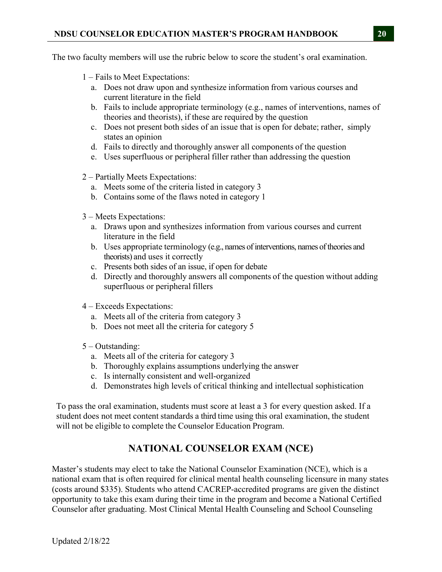The two faculty members will use the rubric below to score the student's oral examination.

- 1 Fails to Meet Expectations:
	- a. Does not draw upon and synthesize information from various courses and current literature in the field
	- b. Fails to include appropriate terminology (e.g., names of interventions, names of theories and theorists), if these are required by the question
	- c. Does not present both sides of an issue that is open for debate; rather, simply states an opinion
	- d. Fails to directly and thoroughly answer all components of the question
	- e. Uses superfluous or peripheral filler rather than addressing the question
- 2 Partially Meets Expectations:
	- a. Meets some of the criteria listed in category 3
	- b. Contains some of the flaws noted in category 1
- 3 Meets Expectations:
	- a. Draws upon and synthesizes information from various courses and current literature in the field
	- b. Uses appropriate terminology (e.g., names of interventions, names of theories and theorists) and uses it correctly
	- c. Presents both sides of an issue, if open for debate
	- d. Directly and thoroughly answers all components of the question without adding superfluous or peripheral fillers
- 4 Exceeds Expectations:
	- a. Meets all of the criteria from category 3
	- b. Does not meet all the criteria for category 5
- 5 Outstanding:
	- a. Meets all of the criteria for category 3
	- b. Thoroughly explains assumptions underlying the answer
	- c. Is internally consistent and well-organized
	- d. Demonstrates high levels of critical thinking and intellectual sophistication

To pass the oral examination, students must score at least a 3 for every question asked. If a student does not meet content standards a third time using this oral examination, the student will not be eligible to complete the Counselor Education Program.

# **NATIONAL COUNSELOR EXAM (NCE)**

Master's students may elect to take the National Counselor Examination (NCE), which is a national exam that is often required for clinical mental health counseling licensure in many states (costs around \$335). Students who attend CACREP-accredited programs are given the distinct opportunity to take this exam during their time in the program and become a National Certified Counselor after graduating. Most Clinical Mental Health Counseling and School Counseling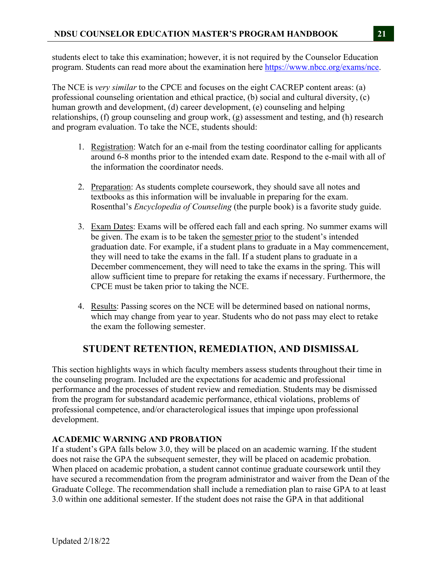students elect to take this examination; however, it is not required by the Counselor Education program. Students can read more about the examination here https://www.nbcc.org/exams/nce.

The NCE is *very similar* to the CPCE and focuses on the eight CACREP content areas: (a) professional counseling orientation and ethical practice, (b) social and cultural diversity, (c) human growth and development, (d) career development, (e) counseling and helping relationships, (f) group counseling and group work, (g) assessment and testing, and (h) research and program evaluation. To take the NCE, students should:

- 1. Registration: Watch for an e-mail from the testing coordinator calling for applicants around 6-8 months prior to the intended exam date. Respond to the e-mail with all of the information the coordinator needs.
- 2. Preparation: As students complete coursework, they should save all notes and textbooks as this information will be invaluable in preparing for the exam. Rosenthal's *Encyclopedia of Counseling* (the purple book) is a favorite study guide.
- 3. Exam Dates: Exams will be offered each fall and each spring. No summer exams will be given. The exam is to be taken the semester prior to the student's intended graduation date. For example, if a student plans to graduate in a May commencement, they will need to take the exams in the fall. If a student plans to graduate in a December commencement, they will need to take the exams in the spring. This will allow sufficient time to prepare for retaking the exams if necessary. Furthermore, the CPCE must be taken prior to taking the NCE.
- 4. Results: Passing scores on the NCE will be determined based on national norms, which may change from year to year. Students who do not pass may elect to retake the exam the following semester.

# **STUDENT RETENTION, REMEDIATION, AND DISMISSAL**

This section highlights ways in which faculty members assess students throughout their time in the counseling program. Included are the expectations for academic and professional performance and the processes of student review and remediation. Students may be dismissed from the program for substandard academic performance, ethical violations, problems of professional competence, and/or characterological issues that impinge upon professional development.

# **ACADEMIC WARNING AND PROBATION**

If a student's GPA falls below 3.0, they will be placed on an academic warning. If the student does not raise the GPA the subsequent semester, they will be placed on academic probation. When placed on academic probation, a student cannot continue graduate coursework until they have secured a recommendation from the program administrator and waiver from the Dean of the Graduate College. The recommendation shall include a remediation plan to raise GPA to at least 3.0 within one additional semester. If the student does not raise the GPA in that additional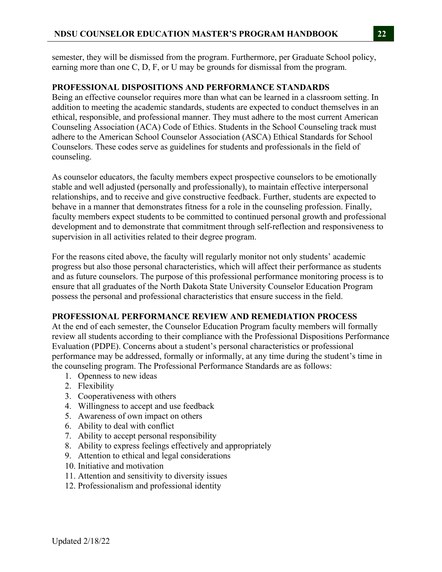semester, they will be dismissed from the program. Furthermore, per Graduate School policy, earning more than one C, D, F, or U may be grounds for dismissal from the program.

#### **PROFESSIONAL DISPOSITIONS AND PERFORMANCE STANDARDS**

Being an effective counselor requires more than what can be learned in a classroom setting. In addition to meeting the academic standards, students are expected to conduct themselves in an ethical, responsible, and professional manner. They must adhere to the most current American Counseling Association (ACA) Code of Ethics. Students in the School Counseling track must adhere to the American School Counselor Association (ASCA) Ethical Standards for School Counselors. These codes serve as guidelines for students and professionals in the field of counseling.

As counselor educators, the faculty members expect prospective counselors to be emotionally stable and well adjusted (personally and professionally), to maintain effective interpersonal relationships, and to receive and give constructive feedback. Further, students are expected to behave in a manner that demonstrates fitness for a role in the counseling profession. Finally, faculty members expect students to be committed to continued personal growth and professional development and to demonstrate that commitment through self-reflection and responsiveness to supervision in all activities related to their degree program.

For the reasons cited above, the faculty will regularly monitor not only students' academic progress but also those personal characteristics, which will affect their performance as students and as future counselors. The purpose of this professional performance monitoring process is to ensure that all graduates of the North Dakota State University Counselor Education Program possess the personal and professional characteristics that ensure success in the field.

### **PROFESSIONAL PERFORMANCE REVIEW AND REMEDIATION PROCESS**

At the end of each semester, the Counselor Education Program faculty members will formally review all students according to their compliance with the Professional Dispositions Performance Evaluation (PDPE). Concerns about a student's personal characteristics or professional performance may be addressed, formally or informally, at any time during the student's time in the counseling program. The Professional Performance Standards are as follows:

- 1. Openness to new ideas
- 2. Flexibility
- 3. Cooperativeness with others
- 4. Willingness to accept and use feedback
- 5. Awareness of own impact on others
- 6. Ability to deal with conflict
- 7. Ability to accept personal responsibility
- 8. Ability to express feelings effectively and appropriately
- 9. Attention to ethical and legal considerations
- 10. Initiative and motivation
- 11. Attention and sensitivity to diversity issues
- 12. Professionalism and professional identity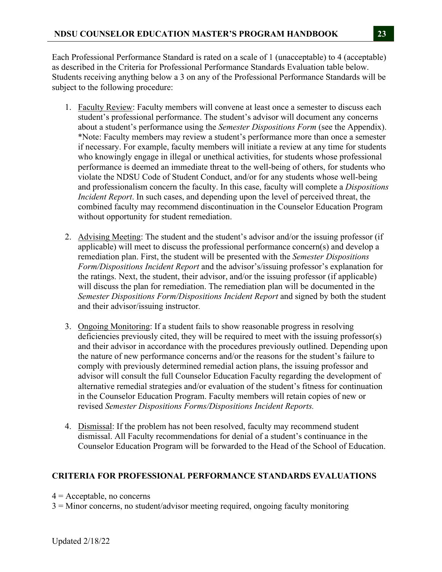Each Professional Performance Standard is rated on a scale of 1 (unacceptable) to 4 (acceptable) as described in the Criteria for Professional Performance Standards Evaluation table below. Students receiving anything below a 3 on any of the Professional Performance Standards will be subject to the following procedure:

- 1. Faculty Review: Faculty members will convene at least once a semester to discuss each student's professional performance. The student's advisor will document any concerns about a student's performance using the *Semester Dispositions Form* (see the Appendix). \*Note: Faculty members may review a student's performance more than once a semester if necessary. For example, faculty members will initiate a review at any time for students who knowingly engage in illegal or unethical activities, for students whose professional performance is deemed an immediate threat to the well-being of others, for students who violate the NDSU Code of Student Conduct, and/or for any students whose well-being and professionalism concern the faculty. In this case, faculty will complete a *Dispositions Incident Report*. In such cases, and depending upon the level of perceived threat, the combined faculty may recommend discontinuation in the Counselor Education Program without opportunity for student remediation.
- 2. Advising Meeting: The student and the student's advisor and/or the issuing professor (if applicable) will meet to discuss the professional performance concern(s) and develop a remediation plan. First, the student will be presented with the *Semester Dispositions Form/Dispositions Incident Report* and the advisor's/issuing professor's explanation for the ratings. Next, the student, their advisor, and/or the issuing professor (if applicable) will discuss the plan for remediation. The remediation plan will be documented in the *Semester Dispositions Form/Dispositions Incident Report* and signed by both the student and their advisor/issuing instructor*.*
- 3. Ongoing Monitoring: If a student fails to show reasonable progress in resolving deficiencies previously cited, they will be required to meet with the issuing professor(s) and their advisor in accordance with the procedures previously outlined. Depending upon the nature of new performance concerns and/or the reasons for the student's failure to comply with previously determined remedial action plans, the issuing professor and advisor will consult the full Counselor Education Faculty regarding the development of alternative remedial strategies and/or evaluation of the student's fitness for continuation in the Counselor Education Program. Faculty members will retain copies of new or revised *Semester Dispositions Forms/Dispositions Incident Reports.*
- 4. Dismissal: If the problem has not been resolved, faculty may recommend student dismissal. All Faculty recommendations for denial of a student's continuance in the Counselor Education Program will be forwarded to the Head of the School of Education.

# **CRITERIA FOR PROFESSIONAL PERFORMANCE STANDARDS EVALUATIONS**

- $4 =$  Acceptable, no concerns
- 3 = Minor concerns, no student/advisor meeting required, ongoing faculty monitoring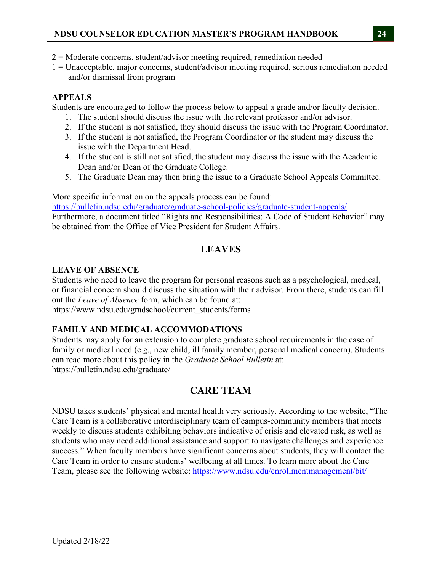- 2 = Moderate concerns, student/advisor meeting required, remediation needed
- 1 = Unacceptable, major concerns, student/advisor meeting required, serious remediation needed and/or dismissal from program

# **APPEALS**

Students are encouraged to follow the process below to appeal a grade and/or faculty decision.

- 1. The student should discuss the issue with the relevant professor and/or advisor.
- 2. If the student is not satisfied, they should discuss the issue with the Program Coordinator.
- 3. If the student is not satisfied, the Program Coordinator or the student may discuss the issue with the Department Head.
- 4. If the student is still not satisfied, the student may discuss the issue with the Academic Dean and/or Dean of the Graduate College.
- 5. The Graduate Dean may then bring the issue to a Graduate School Appeals Committee.

More specific information on the appeals process can be found:

https://bulletin.ndsu.edu/graduate/graduate-school-policies/graduate-student-appeals/ Furthermore, a document titled "Rights and Responsibilities: A Code of Student Behavior" may be obtained from the Office of Vice President for Student Affairs.

# **LEAVES**

# **LEAVE OF ABSENCE**

Students who need to leave the program for personal reasons such as a psychological, medical, or financial concern should discuss the situation with their advisor. From there, students can fill out the *Leave of Absence* form, which can be found at: https://www.ndsu.edu/gradschool/current\_students/forms

# **FAMILY AND MEDICAL ACCOMMODATIONS**

Students may apply for an extension to complete graduate school requirements in the case of family or medical need (e.g., new child, ill family member, personal medical concern). Students can read more about this policy in the *Graduate School Bulletin* at: https://bulletin.ndsu.edu/graduate/

# **CARE TEAM**

NDSU takes students' physical and mental health very seriously. According to the website, "The Care Team is a collaborative interdisciplinary team of campus-community members that meets weekly to discuss students exhibiting behaviors indicative of crisis and elevated risk, as well as students who may need additional assistance and support to navigate challenges and experience success." When faculty members have significant concerns about students, they will contact the Care Team in order to ensure students' wellbeing at all times. To learn more about the Care Team, please see the following website: https://www.ndsu.edu/enrollmentmanagement/bit/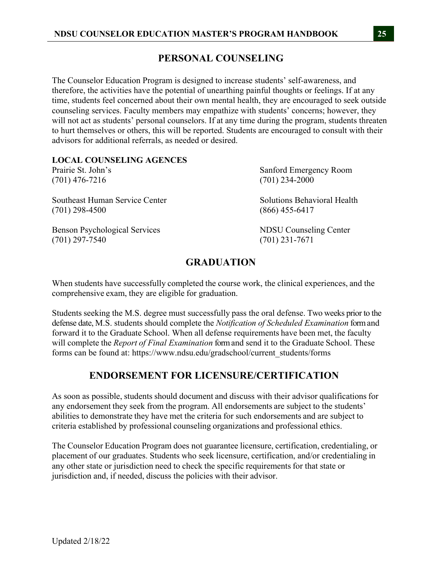# **PERSONAL COUNSELING**

The Counselor Education Program is designed to increase students' self-awareness, and therefore, the activities have the potential of unearthing painful thoughts or feelings. If at any time, students feel concerned about their own mental health, they are encouraged to seek outside counseling services. Faculty members may empathize with students' concerns; however, they will not act as students' personal counselors. If at any time during the program, students threaten to hurt themselves or others, this will be reported. Students are encouraged to consult with their advisors for additional referrals, as needed or desired.

| <b>LOCAL COUNSELING AGENCES</b>      |                                    |
|--------------------------------------|------------------------------------|
| Prairie St. John's                   | Sanford Emergency Room             |
| $(701)$ 476-7216                     | $(701)$ 234-2000                   |
| Southeast Human Service Center       | <b>Solutions Behavioral Health</b> |
| $(701)$ 298-4500                     | $(866)$ 455-6417                   |
| <b>Benson Psychological Services</b> | <b>NDSU</b> Counseling Center      |
| $(701)$ 297-7540                     | $(701)$ 231-7671                   |

# **GRADUATION**

When students have successfully completed the course work, the clinical experiences, and the comprehensive exam, they are eligible for graduation.

Students seeking the M.S. degree must successfully pass the oral defense. Two weeks prior to the defense date, M.S. students should complete the *Notification of Scheduled Examination* form and forward it to the Graduate School. When all defense requirements have been met, the faculty will complete the *Report of Final Examination* form and send it to the Graduate School. These forms can be found at: https://www.ndsu.edu/gradschool/current\_students/forms

# **ENDORSEMENT FOR LICENSURE/CERTIFICATION**

As soon as possible, students should document and discuss with their advisor qualifications for any endorsement they seek from the program. All endorsements are subject to the students' abilities to demonstrate they have met the criteria for such endorsements and are subject to criteria established by professional counseling organizations and professional ethics.

The Counselor Education Program does not guarantee licensure, certification, credentialing, or placement of our graduates. Students who seek licensure, certification, and/or credentialing in any other state or jurisdiction need to check the specific requirements for that state or jurisdiction and, if needed, discuss the policies with their advisor.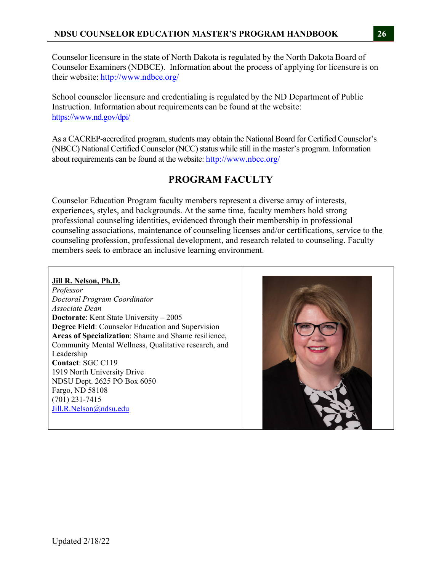Counselor licensure in the state of North Dakota is regulated by the North Dakota Board of Counselor Examiners (NDBCE). Information about the process of applying for licensure is on their website: http://www.ndbce.org/

School counselor licensure and credentialing is regulated by the ND Department of Public Instruction. Information about requirements can be found at the website: https://www.nd.gov/dpi/

As a CACREP-accredited program, students may obtain the National Board for Certified Counselor's (NBCC) National Certified Counselor (NCC) status while still in the master's program. Information about requirements can be found at the website: http://www.nbcc.org/

# **PROGRAM FACULTY**

Counselor Education Program faculty members represent a diverse array of interests, experiences, styles, and backgrounds. At the same time, faculty members hold strong professional counseling identities, evidenced through their membership in professional counseling associations, maintenance of counseling licenses and/or certifications, service to the counseling profession, professional development, and research related to counseling. Faculty members seek to embrace an inclusive learning environment.

### **Jill R. Nelson, Ph.D.**

*Professor Doctoral Program Coordinator Associate Dean*  **Doctorate**: Kent State University – 2005 **Degree Field**: Counselor Education and Supervision **Areas of Specialization**: Shame and Shame resilience, Community Mental Wellness, Qualitative research, and Leadership **Contact**: SGC C119 1919 North University Drive NDSU Dept. 2625 PO Box 6050 Fargo, ND 58108 (701) 231-7415 Jill.R.Nelson@ndsu.edu

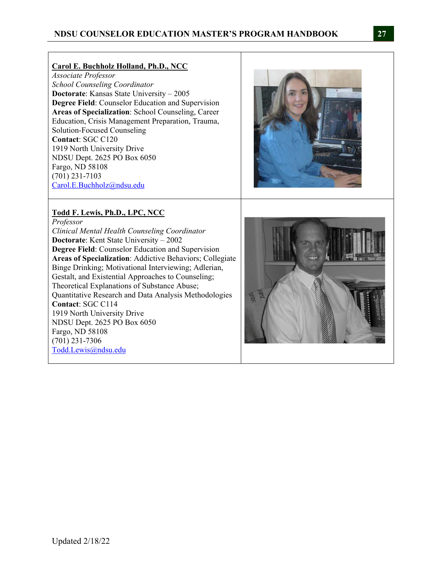#### **Carol E. Buchholz Holland, Ph.D., NCC**

*Associate Professor School Counseling Coordinator*  **Doctorate**: Kansas State University – 2005 **Degree Field**: Counselor Education and Supervision **Areas of Specialization**: School Counseling, Career Education, Crisis Management Preparation, Trauma, Solution-Focused Counseling **Contact**: SGC C120 1919 North University Drive NDSU Dept. 2625 PO Box 6050 Fargo, ND 58108 (701) 231-7103 Carol.E.Buchholz@ndsu.edu

#### **Todd F. Lewis, Ph.D., LPC, NCC**

*Professor Clinical Mental Health Counseling Coordinator*  **Doctorate**: Kent State University – 2002 **Degree Field**: Counselor Education and Supervision **Areas of Specialization**: Addictive Behaviors; Collegiate Binge Drinking; Motivational Interviewing; Adlerian, Gestalt, and Existential Approaches to Counseling; Theoretical Explanations of Substance Abuse; Quantitative Research and Data Analysis Methodologies **Contact**: SGC C114 1919 North University Drive NDSU Dept. 2625 PO Box 6050 Fargo, ND 58108 (701) 231-7306 Todd.Lewis@ndsu.edu



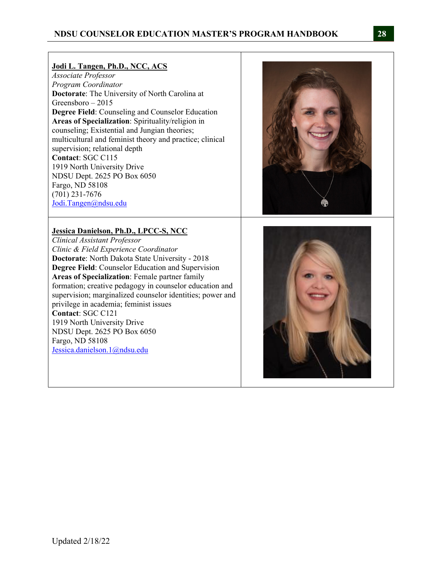#### **Jodi L. Tangen, Ph.D., NCC, ACS**

*Associate Professor Program Coordinator*  **Doctorate**: The University of North Carolina at Greensboro – 2015 **Degree Field**: Counseling and Counselor Education **Areas of Specialization**: Spirituality/religion in counseling; Existential and Jungian theories; multicultural and feminist theory and practice; clinical supervision; relational depth **Contact**: SGC C115 1919 North University Drive NDSU Dept. 2625 PO Box 6050 Fargo, ND 58108 (701) 231-7676 Jodi.Tangen@ndsu.edu

#### **Jessica Danielson, Ph.D., LPCC-S, NCC**

*Clinical Assistant Professor Clinic & Field Experience Coordinator*  **Doctorate**: North Dakota State University - 2018 **Degree Field**: Counselor Education and Supervision **Areas of Specialization**: Female partner family formation; creative pedagogy in counselor education and supervision; marginalized counselor identities; power and privilege in academia; feminist issues **Contact**: SGC C121 1919 North University Drive NDSU Dept. 2625 PO Box 6050 Fargo, ND 58108 Jessica.danielson.1@ndsu.edu



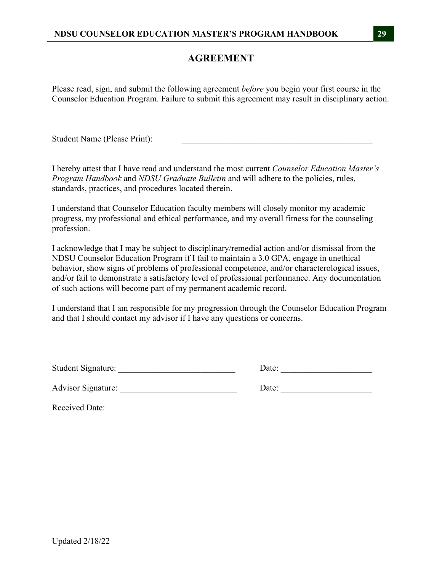# **AGREEMENT**

Please read, sign, and submit the following agreement *before* you begin your first course in the Counselor Education Program. Failure to submit this agreement may result in disciplinary action.

Student Name (Please Print):

I hereby attest that I have read and understand the most current *Counselor Education Master's Program Handbook* and *NDSU Graduate Bulletin* and will adhere to the policies, rules, standards, practices, and procedures located therein.

I understand that Counselor Education faculty members will closely monitor my academic progress, my professional and ethical performance, and my overall fitness for the counseling profession.

I acknowledge that I may be subject to disciplinary/remedial action and/or dismissal from the NDSU Counselor Education Program if I fail to maintain a 3.0 GPA, engage in unethical behavior, show signs of problems of professional competence, and/or characterological issues, and/or fail to demonstrate a satisfactory level of professional performance. Any documentation of such actions will become part of my permanent academic record.

I understand that I am responsible for my progression through the Counselor Education Program and that I should contact my advisor if I have any questions or concerns.

| Student Signature: |  |
|--------------------|--|
|                    |  |

Advisor Signature: \_\_\_\_\_\_\_\_\_\_\_\_\_\_\_\_\_\_\_\_\_\_\_\_\_\_\_ Date: \_\_\_\_\_\_\_\_\_\_\_\_\_\_\_\_\_\_\_\_\_

Received Date: \_\_\_\_\_\_\_\_\_\_\_\_\_\_\_\_\_\_\_\_\_\_\_\_\_\_\_\_\_\_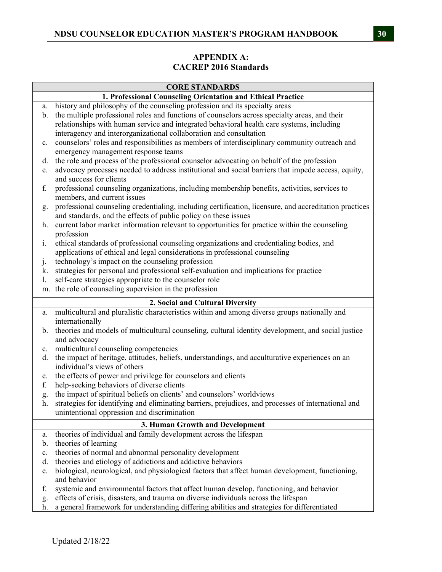# **APPENDIX A: CACREP 2016 Standards**

|                                                             | <b>CORE STANDARDS</b>                                                                                  |  |
|-------------------------------------------------------------|--------------------------------------------------------------------------------------------------------|--|
| 1. Professional Counseling Orientation and Ethical Practice |                                                                                                        |  |
| a.                                                          | history and philosophy of the counseling profession and its specialty areas                            |  |
| b.                                                          | the multiple professional roles and functions of counselors across specialty areas, and their          |  |
|                                                             | relationships with human service and integrated behavioral health care systems, including              |  |
|                                                             | interagency and interorganizational collaboration and consultation                                     |  |
| c.                                                          | counselors' roles and responsibilities as members of interdisciplinary community outreach and          |  |
|                                                             | emergency management response teams                                                                    |  |
| d.                                                          | the role and process of the professional counselor advocating on behalf of the profession              |  |
| e.                                                          | advocacy processes needed to address institutional and social barriers that impede access, equity,     |  |
|                                                             | and success for clients                                                                                |  |
| f.                                                          | professional counseling organizations, including membership benefits, activities, services to          |  |
|                                                             | members, and current issues                                                                            |  |
| g.                                                          | professional counseling credentialing, including certification, licensure, and accreditation practices |  |
|                                                             | and standards, and the effects of public policy on these issues                                        |  |
| h.                                                          | current labor market information relevant to opportunities for practice within the counseling          |  |
|                                                             | profession                                                                                             |  |
| $\mathbf{i}$ .                                              | ethical standards of professional counseling organizations and credentialing bodies, and               |  |
|                                                             | applications of ethical and legal considerations in professional counseling                            |  |
| $\cdot$                                                     | technology's impact on the counseling profession                                                       |  |
| k.                                                          | strategies for personal and professional self-evaluation and implications for practice                 |  |
| 1.                                                          | self-care strategies appropriate to the counselor role                                                 |  |
| m.                                                          | the role of counseling supervision in the profession                                                   |  |
|                                                             | 2. Social and Cultural Diversity                                                                       |  |
| a.                                                          | multicultural and pluralistic characteristics within and among diverse groups nationally and           |  |
|                                                             | internationally                                                                                        |  |
| b.                                                          | theories and models of multicultural counseling, cultural identity development, and social justice     |  |
|                                                             | and advocacy                                                                                           |  |
| c.                                                          | multicultural counseling competencies                                                                  |  |
| d.                                                          | the impact of heritage, attitudes, beliefs, understandings, and acculturative experiences on an        |  |
|                                                             | individual's views of others                                                                           |  |
| e.                                                          | the effects of power and privilege for counselors and clients                                          |  |
| f.                                                          | help-seeking behaviors of diverse clients                                                              |  |
| g.                                                          | the impact of spiritual beliefs on clients' and counselors' worldviews                                 |  |
| h.                                                          | strategies for identifying and eliminating barriers, prejudices, and processes of international and    |  |
|                                                             | unintentional oppression and discrimination                                                            |  |
|                                                             | 3. Human Growth and Development                                                                        |  |
| a.                                                          | theories of individual and family development across the lifespan                                      |  |
| b.                                                          | theories of learning                                                                                   |  |
| c.                                                          | theories of normal and abnormal personality development                                                |  |
| d.                                                          | theories and etiology of addictions and addictive behaviors                                            |  |
| e.                                                          | biological, neurological, and physiological factors that affect human development, functioning,        |  |
|                                                             | and behavior                                                                                           |  |
| f.                                                          | systemic and environmental factors that affect human develop, functioning, and behavior                |  |
| g.                                                          | effects of crisis, disasters, and trauma on diverse individuals across the lifespan                    |  |
| h.                                                          | a general framework for understanding differing abilities and strategies for differentiated            |  |
|                                                             |                                                                                                        |  |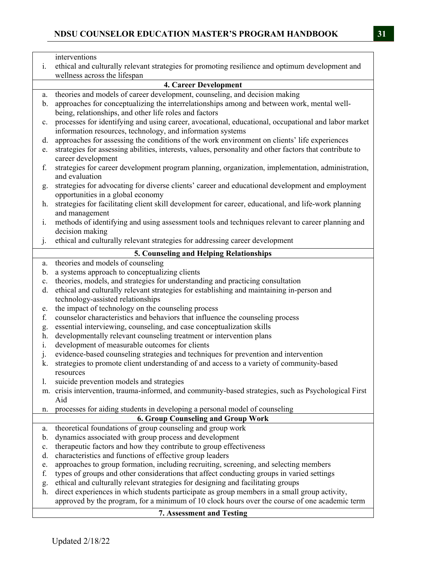|             | interventions                                                                                           |
|-------------|---------------------------------------------------------------------------------------------------------|
|             |                                                                                                         |
| i.          | ethical and culturally relevant strategies for promoting resilience and optimum development and         |
|             | wellness across the lifespan                                                                            |
|             | <b>4. Career Development</b>                                                                            |
| a.          | theories and models of career development, counseling, and decision making                              |
| b.          | approaches for conceptualizing the interrelationships among and between work, mental well-              |
|             | being, relationships, and other life roles and factors                                                  |
| c.          | processes for identifying and using career, avocational, educational, occupational and labor market     |
|             | information resources, technology, and information systems                                              |
| d.          | approaches for assessing the conditions of the work environment on clients' life experiences            |
| e.          | strategies for assessing abilities, interests, values, personality and other factors that contribute to |
|             | career development                                                                                      |
| f.          | strategies for career development program planning, organization, implementation, administration,       |
|             | and evaluation                                                                                          |
|             | strategies for advocating for diverse clients' career and educational development and employment        |
| g.          | opportunities in a global economy                                                                       |
| h.          | strategies for facilitating client skill development for career, educational, and life-work planning    |
|             | and management                                                                                          |
| i.          | methods of identifying and using assessment tools and techniques relevant to career planning and        |
|             | decision making                                                                                         |
|             | ethical and culturally relevant strategies for addressing career development                            |
| $\dot{J}$ . |                                                                                                         |
|             | 5. Counseling and Helping Relationships                                                                 |
| a.          | theories and models of counseling                                                                       |
| b.          | a systems approach to conceptualizing clients                                                           |
| c.          | theories, models, and strategies for understanding and practicing consultation                          |
| d.          | ethical and culturally relevant strategies for establishing and maintaining in-person and               |
|             | technology-assisted relationships                                                                       |
| e.          | the impact of technology on the counseling process                                                      |
| f.          | counselor characteristics and behaviors that influence the counseling process                           |
| g.          | essential interviewing, counseling, and case conceptualization skills                                   |
| h.          | developmentally relevant counseling treatment or intervention plans                                     |
| i.          | development of measurable outcomes for clients                                                          |
| j.          | evidence-based counseling strategies and techniques for prevention and intervention                     |
| k.          | strategies to promote client understanding of and access to a variety of community-based                |
|             | resources                                                                                               |
| 1.          | suicide prevention models and strategies                                                                |
|             | m. crisis intervention, trauma-informed, and community-based strategies, such as Psychological First    |
|             | Aid                                                                                                     |
| n.          | processes for aiding students in developing a personal model of counseling                              |
|             | <b>6. Group Counseling and Group Work</b>                                                               |
| a.          | theoretical foundations of group counseling and group work                                              |
| b.          | dynamics associated with group process and development                                                  |
| c.          | therapeutic factors and how they contribute to group effectiveness                                      |
| d.          | characteristics and functions of effective group leaders                                                |
| e.          | approaches to group formation, including recruiting, screening, and selecting members                   |
| f.          | types of groups and other considerations that affect conducting groups in varied settings               |
| g.          | ethical and culturally relevant strategies for designing and facilitating groups                        |
| h.          | direct experiences in which students participate as group members in a small group activity,            |
|             | approved by the program, for a minimum of 10 clock hours over the course of one academic term           |
|             |                                                                                                         |
|             | <b>7. Assessment and Testing</b>                                                                        |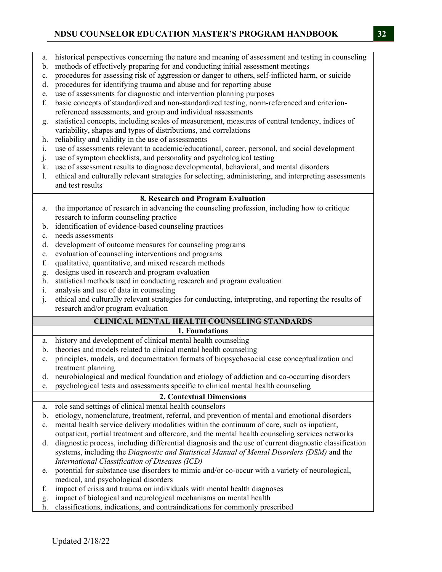- a. historical perspectives concerning the nature and meaning of assessment and testing in counseling
- b. methods of effectively preparing for and conducting initial assessment meetings
- c. procedures for assessing risk of aggression or danger to others, self-inflicted harm, or suicide
- d. procedures for identifying trauma and abuse and for reporting abuse
- e. use of assessments for diagnostic and intervention planning purposes
- f. basic concepts of standardized and non-standardized testing, norm-referenced and criterionreferenced assessments, and group and individual assessments
- g. statistical concepts, including scales of measurement, measures of central tendency, indices of variability, shapes and types of distributions, and correlations
- h. reliability and validity in the use of assessments
- i. use of assessments relevant to academic/educational, career, personal, and social development
- j. use of symptom checklists, and personality and psychological testing
- k. use of assessment results to diagnose developmental, behavioral, and mental disorders
- l. ethical and culturally relevant strategies for selecting, administering, and interpreting assessments and test results

### **8. Research and Program Evaluation**

- a. the importance of research in advancing the counseling profession, including how to critique research to inform counseling practice
- b. identification of evidence-based counseling practices
- c. needs assessments
- d. development of outcome measures for counseling programs
- e. evaluation of counseling interventions and programs
- f. qualitative, quantitative, and mixed research methods
- g. designs used in research and program evaluation
- h. statistical methods used in conducting research and program evaluation
- i. analysis and use of data in counseling
- j. ethical and culturally relevant strategies for conducting, interpreting, and reporting the results of research and/or program evaluation

# **CLINICAL MENTAL HEALTH COUNSELING STANDARDS**

- **1. Foundations**
- a. history and development of clinical mental health counseling
- b. theories and models related to clinical mental health counseling
- c. principles, models, and documentation formats of biopsychosocial case conceptualization and treatment planning
- d. neurobiological and medical foundation and etiology of addiction and co-occurring disorders
- e. psychological tests and assessments specific to clinical mental health counseling

# **2. Contextual Dimensions**

- a. role sand settings of clinical mental health counselors
- b. etiology, nomenclature, treatment, referral, and prevention of mental and emotional disorders
- c. mental health service delivery modalities within the continuum of care, such as inpatient, outpatient, partial treatment and aftercare, and the mental health counseling services networks
- d. diagnostic process, including differential diagnosis and the use of current diagnostic classification systems, including the *Diagnostic and Statistical Manual of Mental Disorders (DSM)* and the *International Classification of Diseases (ICD)*
- e. potential for substance use disorders to mimic and/or co-occur with a variety of neurological, medical, and psychological disorders
- f. impact of crisis and trauma on individuals with mental health diagnoses
- g. impact of biological and neurological mechanisms on mental health
- h. classifications, indications, and contraindications for commonly prescribed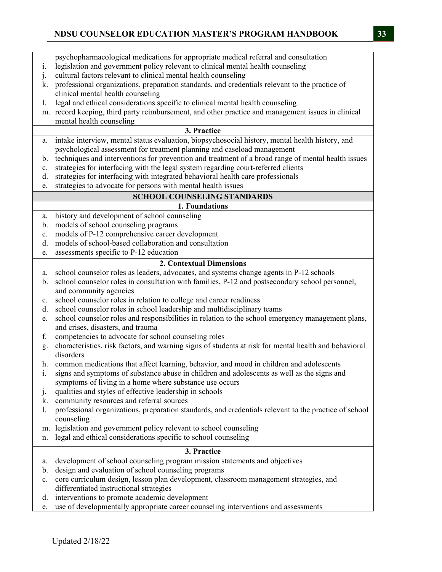psychopharmacological medications for appropriate medical referral and consultation i. legislation and government policy relevant to clinical mental health counseling j. cultural factors relevant to clinical mental health counseling k. professional organizations, preparation standards, and credentials relevant to the practice of clinical mental health counseling l. legal and ethical considerations specific to clinical mental health counseling m. record keeping, third party reimbursement, and other practice and management issues in clinical mental health counseling **3. Practice**  a. intake interview, mental status evaluation, biopsychosocial history, mental health history, and psychological assessment for treatment planning and caseload management b. techniques and interventions for prevention and treatment of a broad range of mental health issues c. strategies for interfacing with the legal system regarding court-referred clients d. strategies for interfacing with integrated behavioral health care professionals e. strategies to advocate for persons with mental health issues **SCHOOL COUNSELING STANDARDS 1. Foundations**  a. history and development of school counseling b. models of school counseling programs c. models of P-12 comprehensive career development d. models of school-based collaboration and consultation e. assessments specific to P-12 education **2. Contextual Dimensions**  a. school counselor roles as leaders, advocates, and systems change agents in P-12 schools b. school counselor roles in consultation with families, P-12 and postsecondary school personnel, and community agencies c. school counselor roles in relation to college and career readiness d. school counselor roles in school leadership and multidisciplinary teams e. school counselor roles and responsibilities in relation to the school emergency management plans, and crises, disasters, and trauma f. competencies to advocate for school counseling roles g. characteristics, risk factors, and warning signs of students at risk for mental health and behavioral disorders h. common medications that affect learning, behavior, and mood in children and adolescents i. signs and symptoms of substance abuse in children and adolescents as well as the signs and symptoms of living in a home where substance use occurs j. qualities and styles of effective leadership in schools k. community resources and referral sources l. professional organizations, preparation standards, and credentials relevant to the practice of school counseling m. legislation and government policy relevant to school counseling n. legal and ethical considerations specific to school counseling **3. Practice**  a. development of school counseling program mission statements and objectives b. design and evaluation of school counseling programs c. core curriculum design, lesson plan development, classroom management strategies, and differentiated instructional strategies d. interventions to promote academic development e. use of developmentally appropriate career counseling interventions and assessments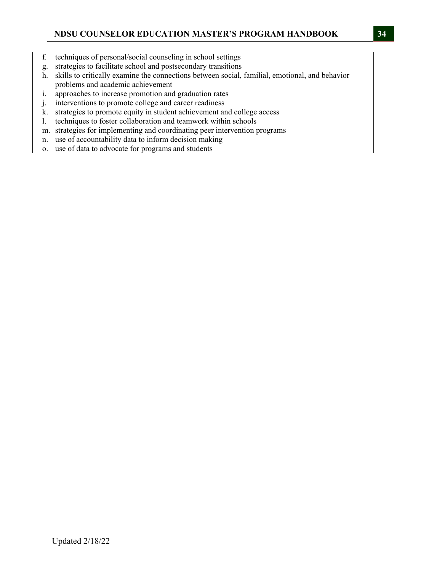- f. techniques of personal/social counseling in school settings
- g. strategies to facilitate school and postsecondary transitions
- h. skills to critically examine the connections between social, familial, emotional, and behavior problems and academic achievement
- i. approaches to increase promotion and graduation rates
- j. interventions to promote college and career readiness
- k. strategies to promote equity in student achievement and college access
- l. techniques to foster collaboration and teamwork within schools
- m. strategies for implementing and coordinating peer intervention programs
- n. use of accountability data to inform decision making
- o. use of data to advocate for programs and students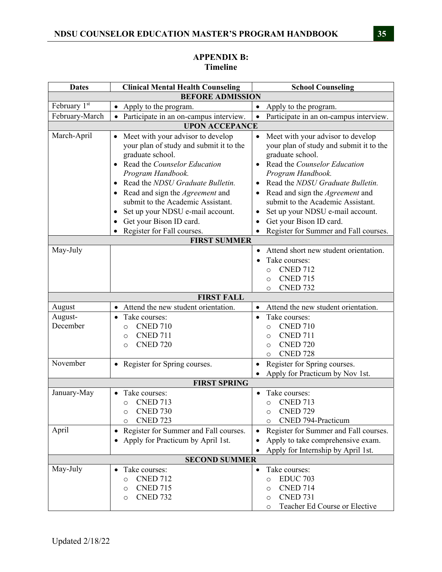#### **Dates** Clinical Mental Health Counseling School Counseling **BEFORE ADMISSION**  February  $1^{st}$   $\bullet$  Apply to the program.  $\bullet$  Apply to the program. February-March  $\vert \bullet \vert$  Participate in an on-campus interview.  $\vert \bullet \vert$  Participate in an on-campus interview. **UPON ACCEPANCE**  March-April  $\bullet$  Meet with your advisor to develop your plan of study and submit it to the graduate school. Read the *Counselor Education Program Handbook.* Read the *NDSU Graduate Bulletin.* Read and sign the *Agreement* and submit to the Academic Assistant. • Set up your NDSU e-mail account. • Get your Bison ID card. Register for Fall courses. • Meet with your advisor to develop your plan of study and submit it to the graduate school. Read the *Counselor Education Program Handbook.* Read the *NDSU Graduate Bulletin.* Read and sign the *Agreement* and submit to the Academic Assistant. • Set up your NDSU e-mail account. • Get your Bison ID card. • Register for Summer and Fall courses. **FIRST SUMMER**  May-July **Attend short new student orientation**. Take courses: o CNED 712 o CNED 715 o CNED 732 **FIRST FALL** August <br>Attend the new student orientation.  $\bullet$  Attend the new student orientation. August-December • Take courses: o CNED 710 o CNED 711 o CNED 720 • Take courses: o CNED 710 o CNED 711 o CNED 720 o CNED 728 November **•** Register for Spring courses. **•** Register for Spring courses. • Apply for Practicum by Nov 1st. **FIRST SPRING** January-May **•** Take courses: o CNED 713 o CNED 730 o CNED 723 • Take courses: o CNED 713 o CNED 729 o CNED 794-Practicum April • Register for Summer and Fall courses. • Apply for Practicum by April 1st. • Register for Summer and Fall courses. Apply to take comprehensive exam. Apply for Internship by April 1st. **SECOND SUMMER** May-July **Could** Take courses: o CNED 712 o CNED 715 • Take courses: o EDUC 703 o CNED 714

o CNED 731

o Teacher Ed Course or Elective

## **APPENDIX B: Timeline**

o CNED 732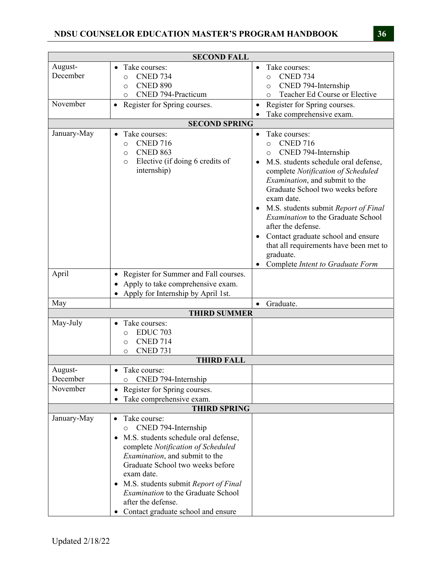|                     | <b>SECOND FALL</b>                                                                                                                                                                                                                                                                                                                                                                                  |                                                                                                                                                                                                                                                                                                                                                                                                                                                                                                                       |
|---------------------|-----------------------------------------------------------------------------------------------------------------------------------------------------------------------------------------------------------------------------------------------------------------------------------------------------------------------------------------------------------------------------------------------------|-----------------------------------------------------------------------------------------------------------------------------------------------------------------------------------------------------------------------------------------------------------------------------------------------------------------------------------------------------------------------------------------------------------------------------------------------------------------------------------------------------------------------|
| August-<br>December | Take courses:<br>$\bullet$<br><b>CNED 734</b><br>$\circ$<br><b>CNED 890</b><br>$\circ$<br>CNED 794-Practicum<br>$\circ$                                                                                                                                                                                                                                                                             | Take courses:<br>$\bullet$<br><b>CNED 734</b><br>$\circ$<br>CNED 794-Internship<br>$\circ$<br>Teacher Ed Course or Elective<br>$\circ$                                                                                                                                                                                                                                                                                                                                                                                |
| November            | Register for Spring courses.<br>$\bullet$                                                                                                                                                                                                                                                                                                                                                           | Register for Spring courses.<br>$\bullet$<br>Take comprehensive exam.                                                                                                                                                                                                                                                                                                                                                                                                                                                 |
|                     | <b>SECOND SPRING</b>                                                                                                                                                                                                                                                                                                                                                                                |                                                                                                                                                                                                                                                                                                                                                                                                                                                                                                                       |
| January-May         | Take courses:<br>$\bullet$<br><b>CNED 716</b><br>$\circ$<br><b>CNED 863</b><br>$\circ$<br>Elective (if doing 6 credits of<br>$\circ$<br>internship)                                                                                                                                                                                                                                                 | Take courses:<br>$\bullet$<br><b>CNED 716</b><br>$\circ$<br>CNED 794-Internship<br>O<br>M.S. students schedule oral defense,<br>complete Notification of Scheduled<br>Examination, and submit to the<br>Graduate School two weeks before<br>exam date.<br>M.S. students submit Report of Final<br>$\bullet$<br>Examination to the Graduate School<br>after the defense.<br>Contact graduate school and ensure<br>$\bullet$<br>that all requirements have been met to<br>graduate.<br>Complete Intent to Graduate Form |
| April               | • Register for Summer and Fall courses.<br>Apply to take comprehensive exam.<br>Apply for Internship by April 1st.<br>$\bullet$                                                                                                                                                                                                                                                                     |                                                                                                                                                                                                                                                                                                                                                                                                                                                                                                                       |
| May                 |                                                                                                                                                                                                                                                                                                                                                                                                     | Graduate.<br>$\bullet$                                                                                                                                                                                                                                                                                                                                                                                                                                                                                                |
|                     | <b>THIRD SUMMER</b>                                                                                                                                                                                                                                                                                                                                                                                 |                                                                                                                                                                                                                                                                                                                                                                                                                                                                                                                       |
| May-July            | Take courses:<br>$\bullet$<br><b>EDUC 703</b><br>$\circ$<br><b>CNED 714</b><br>$\circ$<br><b>CNED 731</b><br>$\circ$                                                                                                                                                                                                                                                                                |                                                                                                                                                                                                                                                                                                                                                                                                                                                                                                                       |
|                     | <b>THIRD FALL</b>                                                                                                                                                                                                                                                                                                                                                                                   |                                                                                                                                                                                                                                                                                                                                                                                                                                                                                                                       |
| August-<br>December | Take course:<br>$\bullet$<br>CNED 794-Internship<br>O                                                                                                                                                                                                                                                                                                                                               |                                                                                                                                                                                                                                                                                                                                                                                                                                                                                                                       |
| November            | Register for Spring courses.<br>$\bullet$<br>Take comprehensive exam.                                                                                                                                                                                                                                                                                                                               |                                                                                                                                                                                                                                                                                                                                                                                                                                                                                                                       |
|                     | <b>THIRD SPRING</b>                                                                                                                                                                                                                                                                                                                                                                                 |                                                                                                                                                                                                                                                                                                                                                                                                                                                                                                                       |
| January-May         | Take course:<br>$\bullet$<br>CNED 794-Internship<br>O<br>M.S. students schedule oral defense,<br>$\bullet$<br>complete Notification of Scheduled<br><i>Examination</i> , and submit to the<br>Graduate School two weeks before<br>exam date.<br>M.S. students submit Report of Final<br>$\bullet$<br>Examination to the Graduate School<br>after the defense.<br>Contact graduate school and ensure |                                                                                                                                                                                                                                                                                                                                                                                                                                                                                                                       |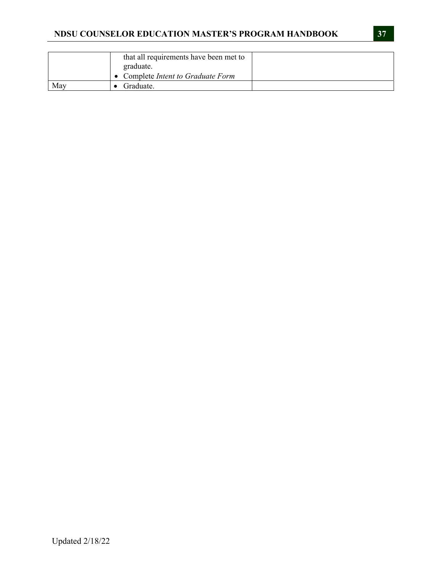|     | that all requirements have been met to<br>graduate. |  |
|-----|-----------------------------------------------------|--|
|     | • Complete Intent to Graduate Form                  |  |
| May | Graduate.                                           |  |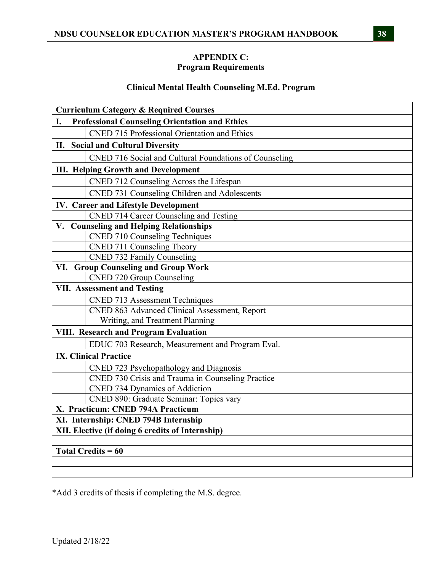### **APPENDIX C: Program Requirements**

### **Clinical Mental Health Counseling M.Ed. Program**

| <b>Curriculum Category &amp; Required Courses</b>           |
|-------------------------------------------------------------|
| <b>Professional Counseling Orientation and Ethics</b><br>I. |
| <b>CNED 715 Professional Orientation and Ethics</b>         |
| II. Social and Cultural Diversity                           |
| CNED 716 Social and Cultural Foundations of Counseling      |
| <b>III. Helping Growth and Development</b>                  |
| CNED 712 Counseling Across the Lifespan                     |
| CNED 731 Counseling Children and Adolescents                |
| <b>IV. Career and Lifestyle Development</b>                 |
| CNED 714 Career Counseling and Testing                      |
| V. Counseling and Helping Relationships                     |
| <b>CNED 710 Counseling Techniques</b>                       |
| CNED 711 Counseling Theory                                  |
| CNED 732 Family Counseling                                  |
| <b>Group Counseling and Group Work</b><br>VI.               |
| <b>CNED 720 Group Counseling</b>                            |
| <b>VII. Assessment and Testing</b>                          |
| <b>CNED 713 Assessment Techniques</b>                       |
| CNED 863 Advanced Clinical Assessment, Report               |
| Writing, and Treatment Planning                             |
| <b>VIII. Research and Program Evaluation</b>                |
| EDUC 703 Research, Measurement and Program Eval.            |
| <b>IX. Clinical Practice</b>                                |
| CNED 723 Psychopathology and Diagnosis                      |
| CNED 730 Crisis and Trauma in Counseling Practice           |
| <b>CNED 734 Dynamics of Addiction</b>                       |
| CNED 890: Graduate Seminar: Topics vary                     |
| X. Practicum: CNED 794A Practicum                           |
| XI. Internship: CNED 794B Internship                        |
| XII. Elective (if doing 6 credits of Internship)            |
|                                                             |
| <b>Total Credits = 60</b>                                   |
|                                                             |
|                                                             |

\*Add 3 credits of thesis if completing the M.S. degree.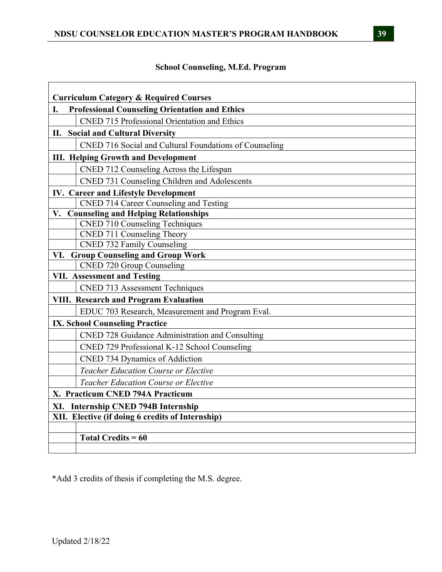# **School Counseling, M.Ed. Program**

| <b>Curriculum Category &amp; Required Courses</b><br><b>Professional Counseling Orientation and Ethics</b><br>I. |  |  |  |
|------------------------------------------------------------------------------------------------------------------|--|--|--|
| <b>CNED 715 Professional Orientation and Ethics</b>                                                              |  |  |  |
| II. Social and Cultural Diversity                                                                                |  |  |  |
| CNED 716 Social and Cultural Foundations of Counseling                                                           |  |  |  |
| <b>III. Helping Growth and Development</b>                                                                       |  |  |  |
| CNED 712 Counseling Across the Lifespan                                                                          |  |  |  |
| CNED 731 Counseling Children and Adolescents                                                                     |  |  |  |
| <b>IV. Career and Lifestyle Development</b>                                                                      |  |  |  |
| CNED 714 Career Counseling and Testing                                                                           |  |  |  |
| V. Counseling and Helping Relationships                                                                          |  |  |  |
| <b>CNED 710 Counseling Techniques</b>                                                                            |  |  |  |
| CNED 711 Counseling Theory                                                                                       |  |  |  |
| CNED 732 Family Counseling                                                                                       |  |  |  |
| VI. Group Counseling and Group Work                                                                              |  |  |  |
| CNED 720 Group Counseling                                                                                        |  |  |  |
| <b>VII. Assessment and Testing</b>                                                                               |  |  |  |
| <b>CNED 713 Assessment Techniques</b>                                                                            |  |  |  |
| <b>VIII. Research and Program Evaluation</b>                                                                     |  |  |  |
| EDUC 703 Research, Measurement and Program Eval.                                                                 |  |  |  |
| <b>IX. School Counseling Practice</b>                                                                            |  |  |  |
| CNED 728 Guidance Administration and Consulting                                                                  |  |  |  |
| CNED 729 Professional K-12 School Counseling                                                                     |  |  |  |
| CNED 734 Dynamics of Addiction                                                                                   |  |  |  |
| Teacher Education Course or Elective                                                                             |  |  |  |
| <b>Teacher Education Course or Elective</b>                                                                      |  |  |  |
| X. Practicum CNED 794A Practicum                                                                                 |  |  |  |
| XI. Internship CNED 794B Internship                                                                              |  |  |  |
| XII. Elective (if doing 6 credits of Internship)                                                                 |  |  |  |
|                                                                                                                  |  |  |  |
| Total Credits = $60$                                                                                             |  |  |  |
|                                                                                                                  |  |  |  |

\*Add 3 credits of thesis if completing the M.S. degree.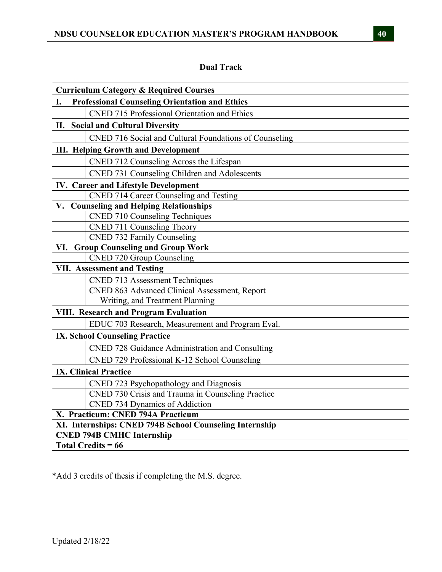# **Dual Track**

| <b>Curriculum Category &amp; Required Courses</b>           |  |  |  |
|-------------------------------------------------------------|--|--|--|
| <b>Professional Counseling Orientation and Ethics</b><br>I. |  |  |  |
| <b>CNED 715 Professional Orientation and Ethics</b>         |  |  |  |
| II. Social and Cultural Diversity                           |  |  |  |
| CNED 716 Social and Cultural Foundations of Counseling      |  |  |  |
| <b>III. Helping Growth and Development</b>                  |  |  |  |
| CNED 712 Counseling Across the Lifespan                     |  |  |  |
| CNED 731 Counseling Children and Adolescents                |  |  |  |
| <b>IV. Career and Lifestyle Development</b>                 |  |  |  |
| CNED 714 Career Counseling and Testing                      |  |  |  |
| V. Counseling and Helping Relationships                     |  |  |  |
| <b>CNED 710 Counseling Techniques</b>                       |  |  |  |
| CNED 711 Counseling Theory                                  |  |  |  |
| CNED 732 Family Counseling                                  |  |  |  |
| VI. Group Counseling and Group Work                         |  |  |  |
| <b>CNED 720 Group Counseling</b>                            |  |  |  |
| <b>VII. Assessment and Testing</b>                          |  |  |  |
| <b>CNED 713 Assessment Techniques</b>                       |  |  |  |
| CNED 863 Advanced Clinical Assessment, Report               |  |  |  |
| Writing, and Treatment Planning                             |  |  |  |
| VIII. Research and Program Evaluation                       |  |  |  |
| EDUC 703 Research, Measurement and Program Eval.            |  |  |  |
| <b>IX. School Counseling Practice</b>                       |  |  |  |
| CNED 728 Guidance Administration and Consulting             |  |  |  |
| CNED 729 Professional K-12 School Counseling                |  |  |  |
| <b>IX. Clinical Practice</b>                                |  |  |  |
| CNED 723 Psychopathology and Diagnosis                      |  |  |  |
| CNED 730 Crisis and Trauma in Counseling Practice           |  |  |  |
| <b>CNED 734 Dynamics of Addiction</b>                       |  |  |  |
| X. Practicum: CNED 794A Practicum                           |  |  |  |
| XI. Internships: CNED 794B School Counseling Internship     |  |  |  |
| <b>CNED 794B CMHC Internship</b>                            |  |  |  |
| <b>Total Credits = 66</b>                                   |  |  |  |

\*Add 3 credits of thesis if completing the M.S. degree.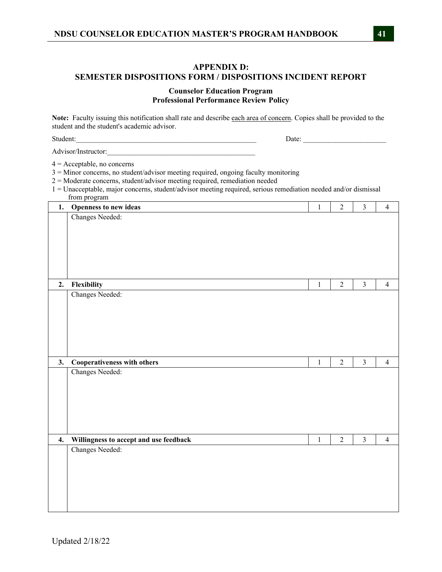# **APPENDIX D: SEMESTER DISPOSITIONS FORM / DISPOSITIONS INCIDENT REPORT**

#### **Counselor Education Program Professional Performance Review Policy**

**Note:** Faculty issuing this notification shall rate and describe each area of concern. Copies shall be provided to the student and the student's academic advisor.

Student:\_\_\_\_\_\_\_\_\_\_\_\_\_\_\_\_\_\_\_\_\_\_\_\_\_\_\_\_\_\_\_\_\_\_\_\_\_\_\_\_\_\_\_\_\_\_\_\_\_\_ Date: \_\_\_\_\_\_\_\_\_\_\_\_\_\_\_\_\_\_\_\_\_\_\_

Advisor/Instructor:\_\_\_\_\_\_\_\_\_\_\_\_\_\_\_\_\_\_\_\_\_\_\_\_\_\_\_\_\_\_\_\_\_\_\_\_\_\_\_\_\_

 $4 =$  Acceptable, no concerns

3 = Minor concerns, no student/advisor meeting required, ongoing faculty monitoring

2 = Moderate concerns, student/advisor meeting required, remediation needed

1 = Unacceptable, major concerns, student/advisor meeting required, serious remediation needed and/or dismissal from program

| 1. | Openness to new ideas                  | $\mathbf{1}$ | $\overline{c}$ | $\overline{3}$ | $\overline{4}$ |
|----|----------------------------------------|--------------|----------------|----------------|----------------|
|    | Changes Needed:                        |              |                |                |                |
|    |                                        |              |                |                |                |
|    |                                        |              |                |                |                |
|    |                                        |              |                |                |                |
|    |                                        |              |                |                |                |
|    |                                        |              |                |                |                |
|    |                                        |              |                |                |                |
|    |                                        |              |                |                |                |
| 2. | Flexibility                            | $\,1$        | $\overline{c}$ | $\mathfrak{Z}$ | $\overline{4}$ |
|    | Changes Needed:                        |              |                |                |                |
|    |                                        |              |                |                |                |
|    |                                        |              |                |                |                |
|    |                                        |              |                |                |                |
|    |                                        |              |                |                |                |
|    |                                        |              |                |                |                |
|    |                                        |              |                |                |                |
|    |                                        |              |                |                |                |
|    |                                        |              |                |                |                |
| 3. |                                        | $\mathbf 1$  | $\overline{2}$ | $\overline{3}$ | $\overline{4}$ |
|    | Cooperativeness with others            |              |                |                |                |
|    | Changes Needed:                        |              |                |                |                |
|    |                                        |              |                |                |                |
|    |                                        |              |                |                |                |
|    |                                        |              |                |                |                |
|    |                                        |              |                |                |                |
|    |                                        |              |                |                |                |
|    |                                        |              |                |                |                |
| 4. |                                        | $1\,$        | $\overline{2}$ | $\overline{3}$ | $\overline{4}$ |
|    | Willingness to accept and use feedback |              |                |                |                |
|    | Changes Needed:                        |              |                |                |                |
|    |                                        |              |                |                |                |
|    |                                        |              |                |                |                |
|    |                                        |              |                |                |                |
|    |                                        |              |                |                |                |
|    |                                        |              |                |                |                |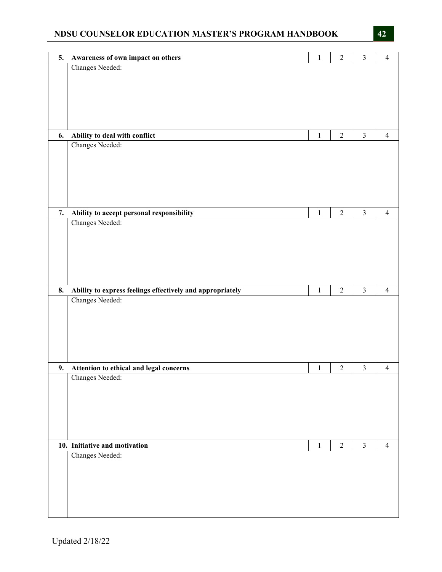| 5. | Awareness of own impact on others                         | $\mathbf{1}$ | $\overline{2}$   | $\mathfrak{Z}$ | $\overline{4}$ |
|----|-----------------------------------------------------------|--------------|------------------|----------------|----------------|
|    | Changes Needed:                                           |              |                  |                |                |
|    |                                                           |              |                  |                |                |
|    |                                                           |              |                  |                |                |
|    |                                                           |              |                  |                |                |
|    |                                                           |              |                  |                |                |
|    |                                                           |              |                  |                |                |
|    |                                                           |              |                  |                |                |
| 6. | Ability to deal with conflict                             | $\mathbf{1}$ | $\overline{c}$   | $\mathfrak{Z}$ | $\overline{4}$ |
|    | Changes Needed:                                           |              |                  |                |                |
|    |                                                           |              |                  |                |                |
|    |                                                           |              |                  |                |                |
|    |                                                           |              |                  |                |                |
|    |                                                           |              |                  |                |                |
|    |                                                           |              |                  |                |                |
|    |                                                           |              |                  |                |                |
|    |                                                           |              |                  |                |                |
| 7. | Ability to accept personal responsibility                 | $\,1\,$      | $\overline{2}$   | $\mathfrak{Z}$ | $\overline{4}$ |
|    | Changes Needed:                                           |              |                  |                |                |
|    |                                                           |              |                  |                |                |
|    |                                                           |              |                  |                |                |
|    |                                                           |              |                  |                |                |
|    |                                                           |              |                  |                |                |
|    |                                                           |              |                  |                |                |
|    |                                                           |              |                  |                |                |
| 8. | Ability to express feelings effectively and appropriately | $\mathbf{1}$ | $\overline{2}$   | $\mathfrak{Z}$ | $\overline{4}$ |
|    | Changes Needed:                                           |              |                  |                |                |
|    |                                                           |              |                  |                |                |
|    |                                                           |              |                  |                |                |
|    |                                                           |              |                  |                |                |
|    |                                                           |              |                  |                |                |
|    |                                                           |              |                  |                |                |
|    |                                                           |              |                  |                |                |
| 9. | Attention to ethical and legal concerns                   | $\mathbf{1}$ | $\boldsymbol{2}$ | $\mathfrak{Z}$ | $\overline{4}$ |
|    | Changes Needed:                                           |              |                  |                |                |
|    |                                                           |              |                  |                |                |
|    |                                                           |              |                  |                |                |
|    |                                                           |              |                  |                |                |
|    |                                                           |              |                  |                |                |
|    |                                                           |              |                  |                |                |
|    |                                                           |              |                  |                |                |
|    |                                                           |              |                  |                |                |
|    |                                                           |              |                  |                |                |
|    | 10. Initiative and motivation                             | $\mathbf{1}$ | $\overline{2}$   | $\overline{3}$ | $\overline{4}$ |
|    | Changes Needed:                                           |              |                  |                |                |
|    |                                                           |              |                  |                |                |
|    |                                                           |              |                  |                |                |
|    |                                                           |              |                  |                |                |
|    |                                                           |              |                  |                |                |
|    |                                                           |              |                  |                |                |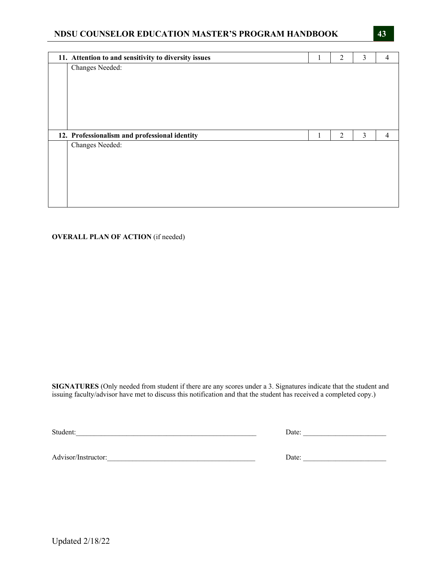| 11. Attention to and sensitivity to diversity issues | Τ. | $\overline{2}$ | 3              | 4              |
|------------------------------------------------------|----|----------------|----------------|----------------|
| Changes Needed:                                      |    |                |                |                |
|                                                      |    |                |                |                |
|                                                      |    |                |                |                |
|                                                      |    |                |                |                |
|                                                      |    |                |                |                |
|                                                      |    |                |                |                |
|                                                      |    |                |                |                |
|                                                      |    |                |                |                |
| 12. Professionalism and professional identity        | 1  | $\overline{2}$ | $\mathfrak{Z}$ | $\overline{4}$ |
| Changes Needed:                                      |    |                |                |                |
|                                                      |    |                |                |                |
|                                                      |    |                |                |                |
|                                                      |    |                |                |                |
|                                                      |    |                |                |                |

#### **OVERALL PLAN OF ACTION** (if needed)

**SIGNATURES** (Only needed from student if there are any scores under a 3. Signatures indicate that the student and issuing faculty/advisor have met to discuss this notification and that the student has received a completed copy.)

Student:\_\_\_\_\_\_\_\_\_\_\_\_\_\_\_\_\_\_\_\_\_\_\_\_\_\_\_\_\_\_\_\_\_\_\_\_\_\_\_\_\_\_\_\_\_\_\_\_\_\_ Date: \_\_\_\_\_\_\_\_\_\_\_\_\_\_\_\_\_\_\_\_\_\_\_

Advisor/Instructor:\_\_\_\_\_\_\_\_\_\_\_\_\_\_\_\_\_\_\_\_\_\_\_\_\_\_\_\_\_\_\_\_\_\_\_\_\_\_\_\_\_ Date: \_\_\_\_\_\_\_\_\_\_\_\_\_\_\_\_\_\_\_\_\_\_\_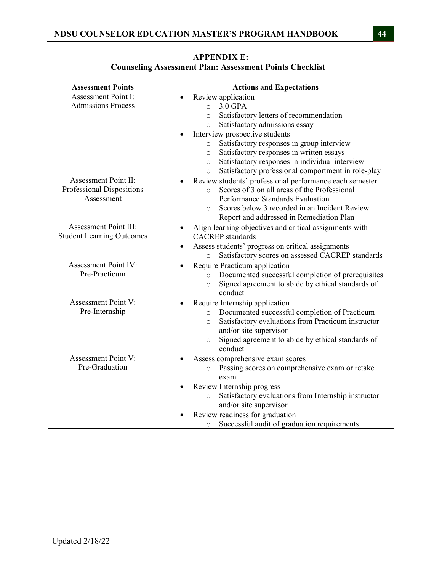| <b>Assessment Points</b>          | <b>Actions and Expectations</b>                                         |
|-----------------------------------|-------------------------------------------------------------------------|
| <b>Assessment Point I:</b>        | Review application                                                      |
| <b>Admissions Process</b>         | 3.0 GPA<br>$\circ$                                                      |
|                                   | Satisfactory letters of recommendation<br>$\circ$                       |
|                                   | Satisfactory admissions essay<br>$\circ$                                |
|                                   | Interview prospective students                                          |
|                                   | Satisfactory responses in group interview<br>$\circ$                    |
|                                   | Satisfactory responses in written essays<br>$\circ$                     |
|                                   | Satisfactory responses in individual interview<br>$\circ$               |
|                                   | Satisfactory professional comportment in role-play<br>$\circ$           |
| Assessment Point II:              | Review students' professional performance each semester                 |
| Professional Dispositions         | Scores of 3 on all areas of the Professional<br>$\circ$                 |
| Assessment                        | Performance Standards Evaluation                                        |
|                                   | Scores below 3 recorded in an Incident Review<br>$\Omega$               |
|                                   | Report and addressed in Remediation Plan                                |
| Assessment Point III:             | Align learning objectives and critical assignments with<br>$\bullet$    |
| <b>Student Learning Outcomes</b>  | <b>CACREP</b> standards                                                 |
|                                   | Assess students' progress on critical assignments                       |
|                                   | Satisfactory scores on assessed CACREP standards<br>$\circ$             |
| <b>Assessment Point IV:</b>       | Require Practicum application<br>$\bullet$                              |
| Pre-Practicum                     | Documented successful completion of prerequisites<br>$\circ$            |
|                                   | Signed agreement to abide by ethical standards of<br>$\circ$            |
|                                   | conduct                                                                 |
| Assessment Point $\overline{V}$ : | Require Internship application                                          |
| Pre-Internship                    | Documented successful completion of Practicum<br>$\circ$                |
|                                   | Satisfactory evaluations from Practicum instructor<br>$\circ$           |
|                                   | and/or site supervisor                                                  |
|                                   | Signed agreement to abide by ethical standards of<br>$\circ$<br>conduct |
| <b>Assessment Point V:</b>        | Assess comprehensive exam scores                                        |
| Pre-Graduation                    | Passing scores on comprehensive exam or retake                          |
|                                   | $\circ$<br>exam                                                         |
|                                   | Review Internship progress                                              |
|                                   | Satisfactory evaluations from Internship instructor<br>$\circ$          |
|                                   | and/or site supervisor                                                  |
|                                   | Review readiness for graduation                                         |
|                                   | Successful audit of graduation requirements<br>$\circ$                  |

**APPENDIX E: Counseling Assessment Plan: Assessment Points Checklist**